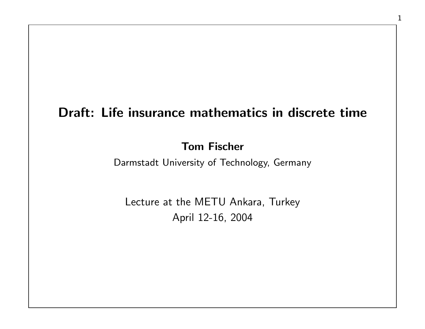# Draft: Life insurance mathematics in discrete time

### Tom Fischer

Darmstadt University of Technology, Germany

Lecture at the METU Ankara, Turkey April 12-16, 2004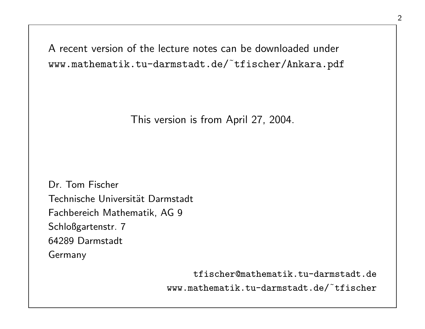A recent version of the lecture notes can be downloaded under www.mathematik.tu-darmstadt.de/˜tfischer/Ankara.pdf

This version is from April 27, 2004.

Dr. Tom Fischer Technische Universität Darmstadt Fachbereich Mathematik, AG 9 Schloßgartenstr. 7 64289 Darmstadt Germany

> tfischer@mathematik.tu-darmstadt.de www.mathematik.tu-darmstadt.de/˜tfischer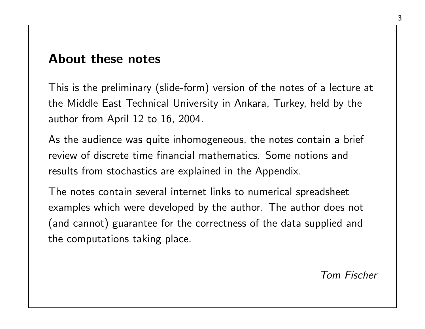# About these notes

This is the preliminary (slide-form) version of the notes of a lecture at the Middle East Technical University in Ankara, Turkey, held by the author from April 12 to 16, 2004.

As the audience was quite inhomogeneous, the notes contain a brief review of discrete time financial mathematics. Some notions and results from stochastics are explained in the Appendix.

The notes contain several internet links to numerical spreadsheet examples which were developed by the author. The author does not (and cannot) guarantee for the correctness of the data supplied and the computations taking place.

Tom Fischer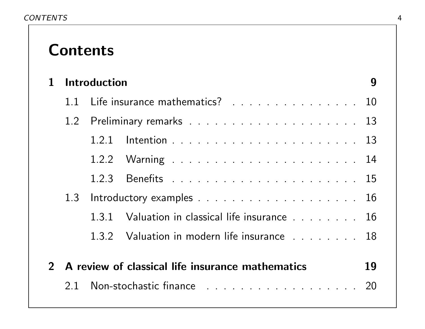# Contents

| $\mathbf 1$ | <b>Introduction</b>             |  |                                                    | 9  |
|-------------|---------------------------------|--|----------------------------------------------------|----|
|             | 11                              |  | Life insurance mathematics? 10                     |    |
|             |                                 |  |                                                    |    |
|             |                                 |  |                                                    |    |
|             |                                 |  |                                                    |    |
|             |                                 |  |                                                    |    |
|             | Introductory examples 16<br>1.3 |  |                                                    |    |
|             |                                 |  | 1.3.1 Valuation in classical life insurance 16     |    |
|             |                                 |  | 1.3.2 Valuation in modern life insurance 18        |    |
|             |                                 |  |                                                    |    |
|             |                                 |  | 2 A review of classical life insurance mathematics | 19 |
|             |                                 |  | 2.1 Non-stochastic finance 20                      |    |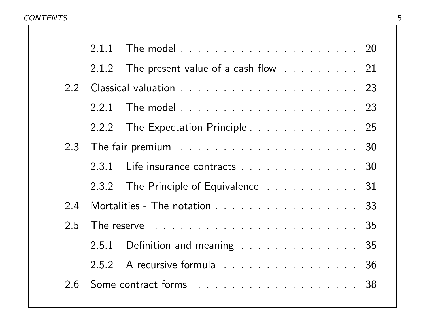#### CONTENTS 5

|     | 2.1.2 | The present value of a cash flow 21                                                                |
|-----|-------|----------------------------------------------------------------------------------------------------|
| 2.2 |       |                                                                                                    |
|     | 2.2.1 |                                                                                                    |
|     |       | 2.2.2 The Expectation Principle 25                                                                 |
|     |       |                                                                                                    |
|     |       | 2.3.1 Life insurance contracts 30                                                                  |
|     |       | 2.3.2 The Principle of Equivalence 31                                                              |
| 2.4 |       | Mortalities - The notation 33                                                                      |
| 2.5 |       | The reserve reserve reservation and the reserve of the reserve of the reserve of the reserve of 35 |
|     |       | 2.5.1 Definition and meaning 35                                                                    |
|     |       | 2.5.2 A recursive formula 36                                                                       |
| 2.6 |       | Some contract forms 38                                                                             |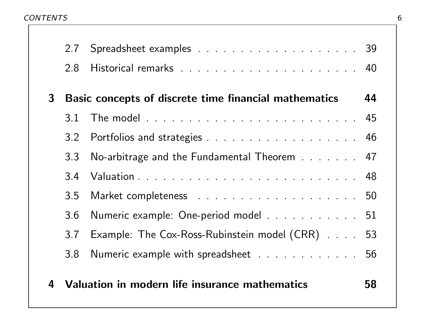CONTENTS 6

|                | 2.7 | Spreadsheet examples 39                               |    |
|----------------|-----|-------------------------------------------------------|----|
|                | 2.8 |                                                       |    |
| 3 <sup>1</sup> |     | Basic concepts of discrete time financial mathematics | 44 |
|                | 3.1 |                                                       |    |
|                | 3.2 | Portfolios and strategies 46                          |    |
|                | 3.3 | No-arbitrage and the Fundamental Theorem 47           |    |
|                | 3.4 |                                                       |    |
|                | 3.5 |                                                       |    |
|                | 3.6 | Numeric example: One-period model 51                  |    |
|                | 3.7 | Example: The Cox-Ross-Rubinstein model (CRR) 53       |    |
|                | 3.8 | Numeric example with spreadsheet 56                   |    |
| 4              |     | Valuation in modern life insurance mathematics        | 58 |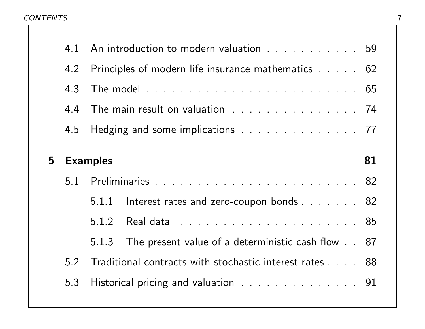#### CONTENTS TO A 22 YO F 20 YO F 20 YO F 20 YO F 20 YO F 20 YO F 20 YO F 20 YO F 20 YO F 20 YO F 20 YO F 20 YO F 20 YO F 20 YO F 20 YO F 20 YO F 20 YO F 20 YO F 20 YO F 20 YO F 20 YO F 20 YO F 20 YO F 20 YO F 20 YO F 20 YO F

|   | 4.1 | An introduction to modern valuation 59                  |  |
|---|-----|---------------------------------------------------------|--|
|   |     | 4.2 Principles of modern life insurance mathematics 62  |  |
|   | 4.3 |                                                         |  |
|   | 4.4 | The main result on valuation 74                         |  |
|   |     | 4.5 Hedging and some implications 77                    |  |
|   |     |                                                         |  |
| 5 |     | 81<br><b>Examples</b>                                   |  |
|   | 5.1 |                                                         |  |
|   |     |                                                         |  |
|   |     | 5.1.1 Interest rates and zero-coupon bonds 82           |  |
|   |     |                                                         |  |
|   |     | 5.1.3 The present value of a deterministic cash flow 87 |  |
|   | 5.2 | Traditional contracts with stochastic interest rates 88 |  |
|   | 5.3 | Historical pricing and valuation 91                     |  |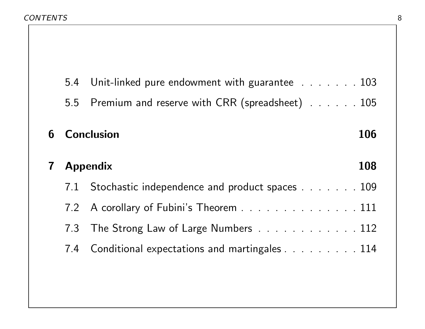#### CONTENTS 8

|             |                 | 5.4 Unit-linked pure endowment with guarantee 103 |     |
|-------------|-----------------|---------------------------------------------------|-----|
|             | 5.5             | Premium and reserve with CRR (spreadsheet) 105    |     |
| 6           |                 | <b>Conclusion</b>                                 | 106 |
| $\mathbf 7$ | <b>Appendix</b> |                                                   | 108 |
|             | 7.1             | Stochastic independence and product spaces 109    |     |
|             |                 | 7.2 A corollary of Fubini's Theorem 111           |     |
|             | 7.3             | The Strong Law of Large Numbers 112               |     |
|             | 7.4             | Conditional expectations and martingales 114      |     |
|             |                 |                                                   |     |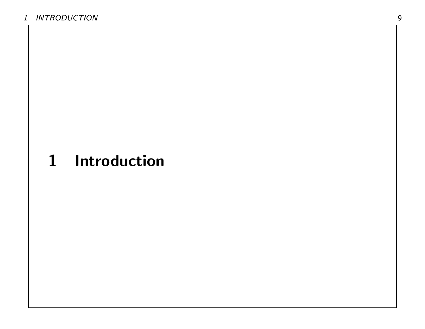# 1 Introduction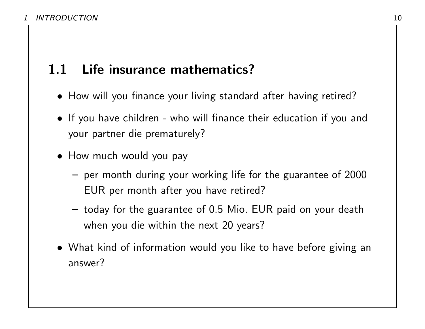# 1.1 Life insurance mathematics?

- How will you finance your living standard after having retired?
- If you have children who will finance their education if you and your partner die prematurely?
- How much would you pay
	- per month during your working life for the guarantee of 2000 EUR per month after you have retired?
	- today for the guarantee of 0.5 Mio. EUR paid on your death when you die within the next 20 years?
- What kind of information would you like to have before giving an answer?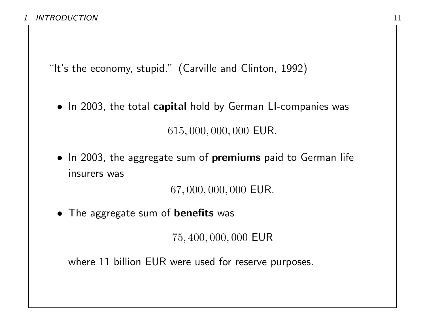"It's the economy, stupid." (Carville and Clinton, 1992)

• In 2003, the total capital hold by German LI-companies was

615, 000, 000, 000 EUR.

• In 2003, the aggregate sum of premiums paid to German life insurers was

67, 000, 000, 000 EUR.

• The aggregate sum of **benefits** was

75, 400, 000, 000 EUR

where 11 billion EUR were used for reserve purposes.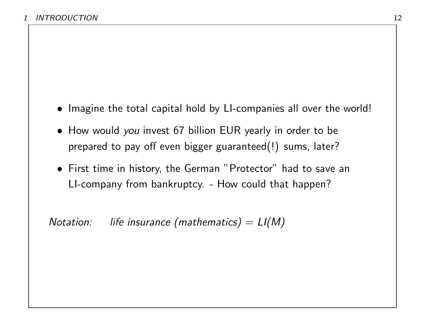- Imagine the total capital hold by LI-companies all over the world!
- How would you invest 67 billion EUR yearly in order to be prepared to pay off even bigger guaranteed(!) sums, later?
- First time in history, the German "Protector" had to save an LI-company from bankruptcy. - How could that happen?

Notation: life insurance (mathematics)  $= L I(M)$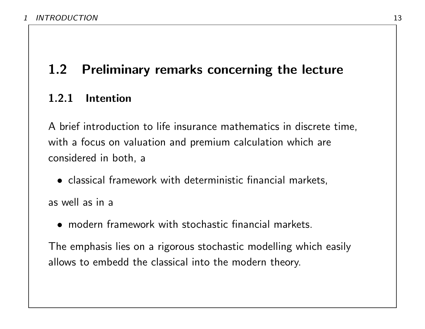# 1.2 Preliminary remarks concerning the lecture

## 1.2.1 Intention

A brief introduction to life insurance mathematics in discrete time, with a focus on valuation and premium calculation which are considered in both, a

• classical framework with deterministic financial markets,

as well as in a

• modern framework with stochastic financial markets.

The emphasis lies on a rigorous stochastic modelling which easily allows to embedd the classical into the modern theory.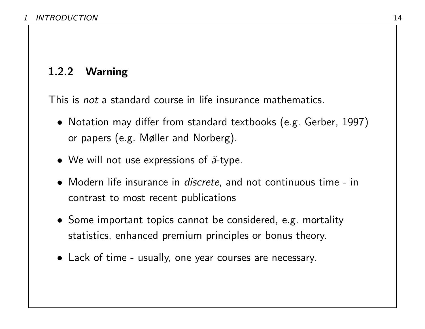# 1.2.2 Warning

This is not a standard course in life insurance mathematics.

- Notation may differ from standard textbooks (e.g. Gerber, 1997) or papers (e.g. Møller and Norberg).
- We will not use expressions of  $\ddot{a}$ -type.
- Modern life insurance in *discrete*, and not continuous time in contrast to most recent publications
- Some important topics cannot be considered, e.g. mortality statistics, enhanced premium principles or bonus theory.
- Lack of time usually, one year courses are necessary.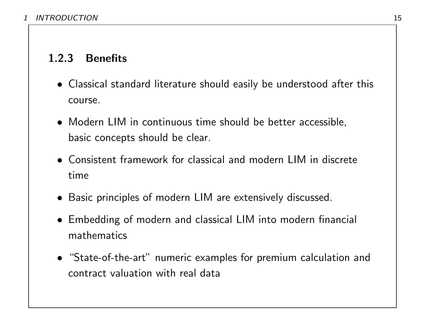# 1.2.3 Benefits

- Classical standard literature should easily be understood after this course.
- Modern LIM in continuous time should be better accessible, basic concepts should be clear.
- Consistent framework for classical and modern LIM in discrete time
- Basic principles of modern LIM are extensively discussed.
- Embedding of modern and classical LIM into modern financial mathematics
- "State-of-the-art" numeric examples for premium calculation and contract valuation with real data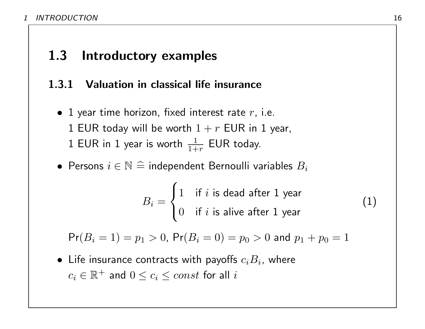# 1.3 Introductory examples

# 1.3.1 Valuation in classical life insurance

- 1 year time horizon, fixed interest rate  $r$ , i.e. 1 EUR today will be worth  $1 + r$  EUR in 1 year, 1 EUR in 1 year is worth  $\frac{1}{1+r}$  EUR today.
- Persons  $i \in \mathbb{N} \triangleq$  independent Bernoulli variables  $B_i$

$$
B_i = \begin{cases} 1 & \text{if } i \text{ is dead after 1 year} \\ 0 & \text{if } i \text{ is alive after 1 year} \end{cases}
$$
 (1)

 $Pr(B_i = 1) = p_1 > 0$ ,  $Pr(B_i = 0) = p_0 > 0$  and  $p_1 + p_0 = 1$ 

 $\bullet\,$  Life insurance contracts with payoffs  $c_iB_i$ , where  $c_i \in \mathbb{R}^+$  and  $0 \leq c_i \leq const$  for all  $i$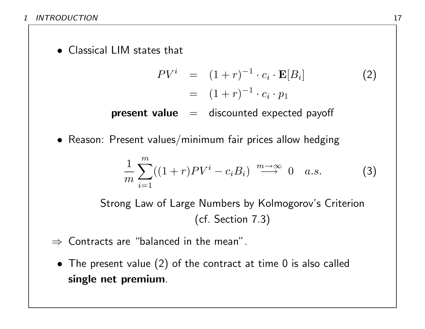• Classical LIM states that

$$
PVi = (1+r)-1 \cdot ci \cdot \mathbf{E}[Bi]
$$
  
= 
$$
(1+r)-1 \cdot ci \cdot p1
$$
 (2)

**present value**  $=$  discounted expected payoff

• Reason: Present values/minimum fair prices allow hedging

$$
\frac{1}{m}\sum_{i=1}^{m}((1+r)PV^{i}-c_{i}B_{i}) \stackrel{m\to\infty}{\longrightarrow} 0 \quad a.s.
$$
 (3)

Strong Law of Large Numbers by Kolmogorov's Criterion (cf. Section 7.3)

- $\Rightarrow$  Contracts are "balanced in the mean".
	- The present value (2) of the contract at time 0 is also called single net premium.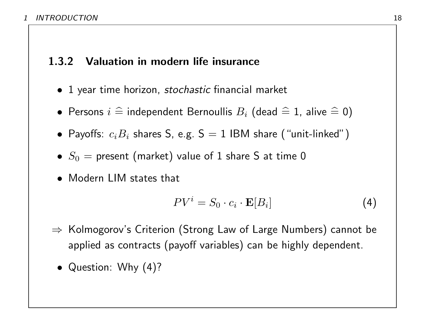## 1.3.2 Valuation in modern life insurance

- 1 year time horizon, *stochastic* financial market
- $\bullet$  Persons  $i \mathrel{\widehat{=}}$  independent Bernoullis  $B_i$  (dead  $\mathrel{\widehat{=}} 1$ , alive  $\mathrel{\widehat{=}} 0)$
- $\bullet$  Payoffs:  $c_iB_i$  shares S, e.g. S  $=$  1 IBM share ("unit-linked")
- $S_0 =$  present (market) value of 1 share S at time 0
- Modern LIM states that

$$
PV^{i} = S_0 \cdot c_i \cdot \mathbf{E}[B_i]
$$
 (4)

- ⇒ Kolmogorov's Criterion (Strong Law of Large Numbers) cannot be applied as contracts (payoff variables) can be highly dependent.
	- Question: Why (4)?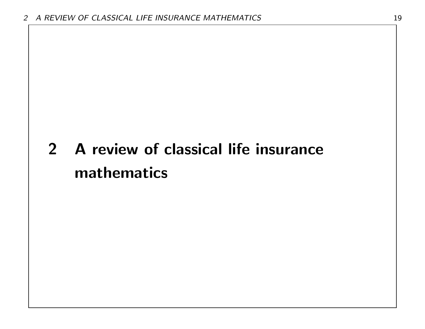# 2 A review of classical life insurance mathematics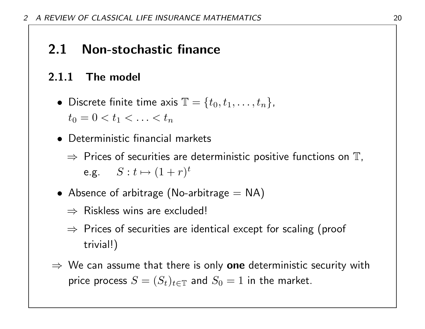# 2.1 Non-stochastic finance

# 2.1.1 The model

- Discrete finite time axis  $\mathbb{T} = \{t_0, t_1, \ldots, t_n\}$ ,  $t_0 = 0 < t_1 < \ldots < t_n$
- Deterministic financial markets
	- $\Rightarrow$  Prices of securities are deterministic positive functions on  $\mathbb T$ , e.g.  $S: t \mapsto (1+r)^t$
- Absence of arbitrage (No-arbitrage  $=$  NA)
	- $\Rightarrow$  Riskless wins are excluded!
	- $\Rightarrow$  Prices of securities are identical except for scaling (proof trivial!)
- $\Rightarrow$  We can assume that there is only one deterministic security with price process  $S = (S_t)_{t \in \mathbb{T}}$  and  $S_0 = 1$  in the market.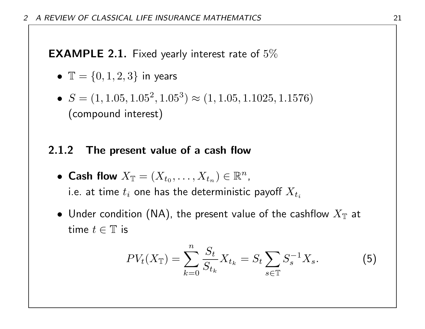**EXAMPLE 2.1.** Fixed yearly interest rate of  $5\%$ 

- $\mathbb{T} = \{0, 1, 2, 3\}$  in years
- $S = (1, 1.05, 1.05^2, 1.05^3) \approx (1, 1.05, 1.1025, 1.1576)$ (compound interest)

### 2.1.2 The present value of a cash flow

- Cash flow  $X_{\mathbb{T}} = (X_{t_0}, \ldots, X_{t_n}) \in \mathbb{R}^n$ , i.e. at time  $t_i$  one has the deterministic payoff  $X_{t_i}$
- $\bullet\,$  Under condition (NA), the present value of the cashflow  $X_\mathbb{T}$  at time  $t \in \mathbb{T}$  is

$$
PV_{t}(X_{\mathbb{T}}) = \sum_{k=0}^{n} \frac{S_{t}}{S_{t_{k}}} X_{t_{k}} = S_{t} \sum_{s \in \mathbb{T}} S_{s}^{-1} X_{s}.
$$
 (5)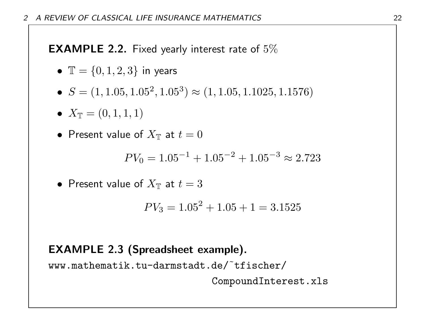**EXAMPLE 2.2.** Fixed yearly interest rate of  $5\%$ 

- $\mathbb{T} = \{0, 1, 2, 3\}$  in years
- $S = (1, 1.05, 1.05^2, 1.05^3) \approx (1, 1.05, 1.1025, 1.1576)$
- $X_{\mathbb{T}} = (0, 1, 1, 1)$
- $\bullet\,$  Present value of  $X_\mathbb{T}$  at  $t=0$

$$
PV_0 = 1.05^{-1} + 1.05^{-2} + 1.05^{-3} \approx 2.723
$$

• Present value of 
$$
X_{\mathbb{T}}
$$
 at  $t = 3$ 

$$
PV_3 = 1.05^2 + 1.05 + 1 = 3.1525
$$

## EXAMPLE 2.3 (Spreadsheet example).

www.mathematik.tu-darmstadt.de/˜tfischer/

CompoundInterest.xls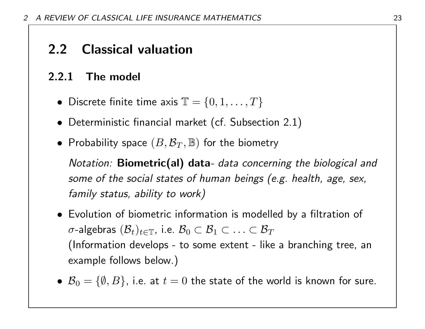# 2.2 Classical valuation

# 2.2.1 The model

- Discrete finite time axis  $\mathbb{T} = \{0, 1, \ldots, T\}$
- Deterministic financial market (cf. Subsection 2.1)
- Probability space  $(B, \mathcal{B}_T, \mathbb{B})$  for the biometry

Notation: Biometric(al) data- data concerning the biological and some of the social states of human beings (e.g. health, age, sex, family status, ability to work)

- Evolution of biometric information is modelled by a filtration of  $\sigma$ -algebras  $(\mathcal{B}_t)_{t\in\mathbb{T}}$ , i.e.  $\mathcal{B}_0\subset\mathcal{B}_1\subset\ldots\subset\mathcal{B}_T$ (Information develops - to some extent - like a branching tree, an example follows below.)
- $\mathcal{B}_0 = \{\emptyset, B\}$ , i.e. at  $t = 0$  the state of the world is known for sure.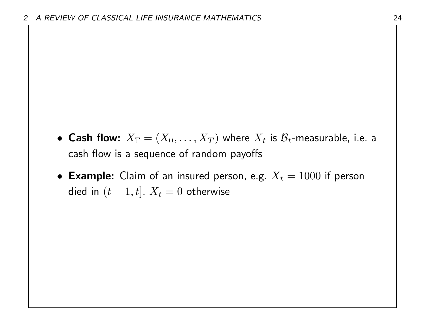- $\bullet$  Cash flow:  $X_\mathbb{T} = (X_0, \ldots, X_T)$  where  $X_t$  is  $\mathcal{B}_t$ -measurable, i.e. a cash flow is a sequence of random payoffs
- Example: Claim of an insured person, e.g.  $X_t = 1000$  if person died in  $(t - 1, t]$ ,  $X_t = 0$  otherwise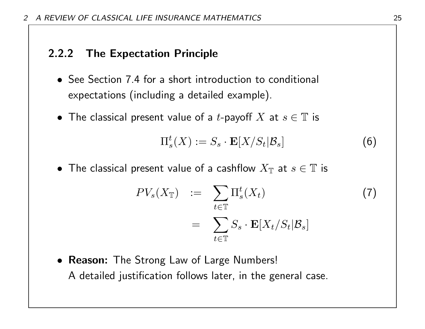## 2.2.2 The Expectation Principle

- See Section 7.4 for a short introduction to conditional expectations (including a detailed example).
- The classical present value of a t-payoff X at  $s \in \mathbb{T}$  is

$$
\Pi_s^t(X) := S_s \cdot \mathbf{E}[X/S_t|\mathcal{B}_s]
$$
 (6)

 $\bullet\,$  The classical present value of a cashflow  $X_\mathbb{T}$  at  $s\in\mathbb{T}$  is

$$
PV_s(X_{\mathbb{T}}) := \sum_{t \in \mathbb{T}} \Pi_s^t(X_t)
$$
  
= 
$$
\sum_{t \in \mathbb{T}} S_s \cdot \mathbf{E}[X_t/S_t|\mathcal{B}_s]
$$
 (7)

• Reason: The Strong Law of Large Numbers! A detailed justification follows later, in the general case.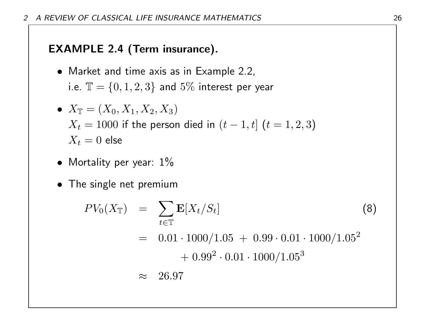# EXAMPLE 2.4 (Term insurance).

• Market and time axis as in Example 2.2, i.e.  $\mathbb{T} = \{0, 1, 2, 3\}$  and 5% interest per year

• 
$$
X_{\mathbb{T}} = (X_0, X_1, X_2, X_3)
$$
  
\n $X_t = 1000$  if the person died in  $(t - 1, t]$   $(t = 1, 2, 3)$   
\n $X_t = 0$  else

- Mortality per year:  $1\%$
- The single net premium

$$
PV_0(X_T) = \sum_{t \in T} \mathbf{E}[X_t/S_t]
$$
(8)  
= 0.01 \cdot 1000/1.05 + 0.99 \cdot 0.01 \cdot 1000/1.05<sup>2</sup>  
+ 0.99<sup>2</sup> \cdot 0.01 \cdot 1000/1.05<sup>3</sup>  
 \approx 26.97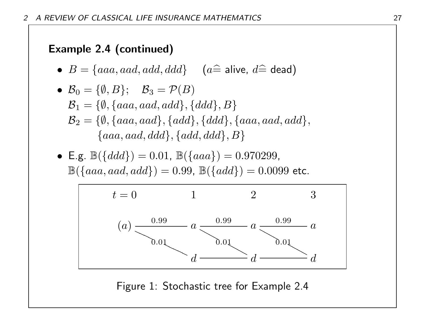# Example 2.4 (continued)

• 
$$
B = \{aaa, aad, add, ddd\}
$$
  $(a \hat{=} \text{ alive}, d \hat{=} \text{dead})$ 

\n- \n
$$
\mathcal{B}_0 = \{\emptyset, B\}; \quad \mathcal{B}_3 = \mathcal{P}(B)
$$
\n
$$
\mathcal{B}_1 = \{\emptyset, \{aaa, aad, add\}, \{ddd\}, B\}
$$
\n
$$
\mathcal{B}_2 = \{\emptyset, \{aaa, aad\}, \{add\}, \{ddd\}, \{aaa, aad, add\}, \{aaa, aad\}, \{aaa, aad, ddd\}, \{add\}, ddd\}, B\}
$$
\n
\n

• E.g.  $\mathbb{B}(\{ddd\}) = 0.01$ ,  $\mathbb{B}(\{aaa\}) = 0.970299$ ,  $\mathbb{B}(\{aaa, aad, add\}) = 0.99, \, \mathbb{B}(\{add\}) = 0.0099$  etc.



Figure 1: Stochastic tree for Example 2.4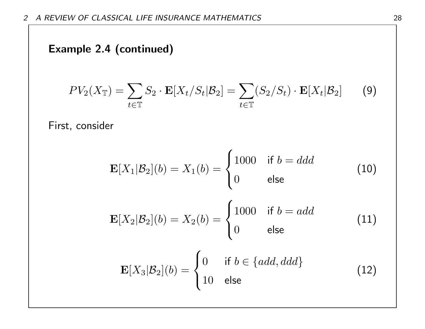# Example 2.4 (continued)

$$
PV_2(X_{\mathbb{T}}) = \sum_{t \in \mathbb{T}} S_2 \cdot \mathbf{E}[X_t/S_t | \mathcal{B}_2] = \sum_{t \in \mathbb{T}} (S_2/S_t) \cdot \mathbf{E}[X_t | \mathcal{B}_2]
$$
(9)

First, consider

$$
\mathbf{E}[X_1|\mathcal{B}_2](b) = X_1(b) = \begin{cases} 1000 & \text{if } b = ddd \\ 0 & \text{else} \end{cases}
$$
(10)  

$$
\mathbf{E}[X_2|\mathcal{B}_2](b) = X_2(b) = \begin{cases} 1000 & \text{if } b = add \\ 0 & \text{else} \end{cases}
$$
(11)  

$$
\mathbf{E}[X_3|\mathcal{B}_2](b) = \begin{cases} 0 & \text{if } b \in \{add, ddd\} \\ 10 & \text{else} \end{cases}
$$
(12)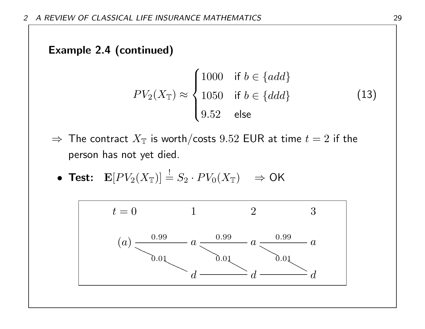# Example 2.4 (continued)

$$
PV_2(X_{\mathbb{T}}) \approx \begin{cases} 1000 & \text{if } b \in \{add\} \\ 1050 & \text{if } b \in \{ddd\} \\ 9.52 & \text{else} \end{cases}
$$
(13)

 $\Rightarrow$  The contract  $X_{\mathbb{T}}$  is worth/costs  $9.52$  EUR at time  $t = 2$  if the person has not yet died.

• Test: 
$$
\mathbf{E}[PV_2(X_{\mathbb{T}})] \stackrel{!}{=} S_2 \cdot PV_0(X_{\mathbb{T}}) \Rightarrow \mathsf{OK}
$$

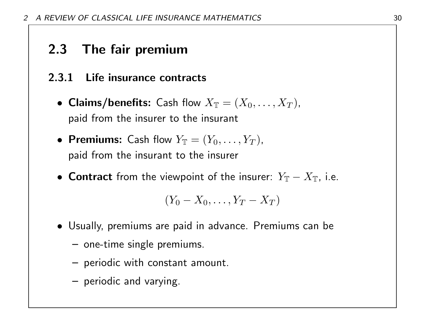# 2.3 The fair premium

## 2.3.1 Life insurance contracts

- Claims/benefits: Cash flow  $X_{\mathbb{T}} = (X_0, \ldots, X_T)$ , paid from the insurer to the insurant
- Premiums: Cash flow  $Y_{\mathbb{T}} = (Y_0, \ldots, Y_T)$ , paid from the insurant to the insurer
- Contract from the viewpoint of the insurer:  $Y_{\mathbb{T}} X_{\mathbb{T}}$ , i.e.

$$
(Y_0-X_0,\ldots,Y_T-X_T)
$$

- Usually, premiums are paid in advance. Premiums can be
	- one-time single premiums.
	- periodic with constant amount.
	- periodic and varying.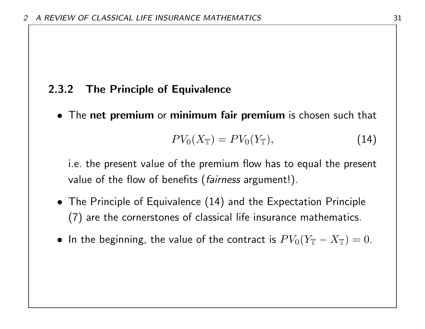## 2.3.2 The Principle of Equivalence

• The net premium or minimum fair premium is chosen such that

$$
PV_0(X_{\mathbb{T}}) = PV_0(Y_{\mathbb{T}}),\tag{14}
$$

i.e. the present value of the premium flow has to equal the present value of the flow of benefits (*fairness* argument!).

- The Principle of Equivalence (14) and the Expectation Principle (7) are the cornerstones of classical life insurance mathematics.
- In the beginning, the value of the contract is  $PV_0(Y_{\mathbb{T}} X_{\mathbb{T}}) = 0$ .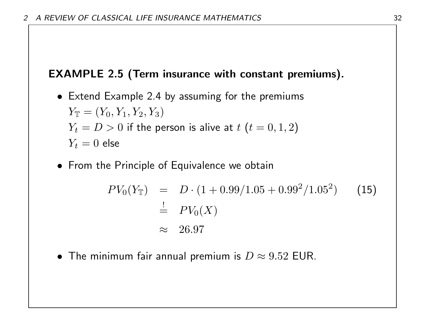# EXAMPLE 2.5 (Term insurance with constant premiums).

- Extend Example 2.4 by assuming for the premiums  $Y_{\mathbb{T}} = (Y_0, Y_1, Y_2, Y_3)$  $Y_t = D > 0$  if the person is alive at  $t$   $(t = 0, 1, 2)$  $Y_t = 0$  else
- From the Principle of Equivalence we obtain

$$
PV_0(Y_{\mathbb{T}}) = D \cdot (1 + 0.99/1.05 + 0.99^2/1.05^2)
$$
 (15)  

$$
\stackrel{!}{\approx} PV_0(X)
$$
  

$$
\approx 26.97
$$

• The minimum fair annual premium is  $D \approx 9.52$  EUR.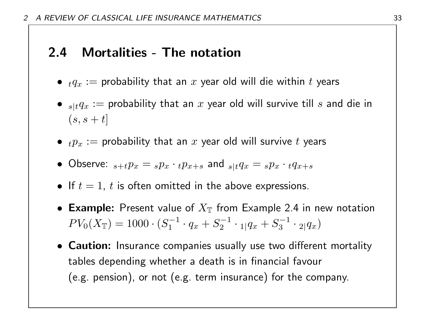# 2.4 Mortalities - The notation

- $\bullet$   $_{t}q_{x}:=$  probability that an  $x$  year old will die within  $t$  years
- $\bullet \;\;_{s|t}q_x :=$  probability that an  $x$  year old will survive till  $s$  and die in  $(s, s + t]$
- $\bullet$   $_{t}p_{x}:=$  probability that an  $x$  year old will survive  $t$  years
- Observe:  ${}_{s+t}p_x = {}_{s}p_x \cdot {}_{t}p_{x+s}$  and  ${}_{s|t}q_x = {}_{s}p_x \cdot {}_{t}q_{x+s}$
- If  $t = 1$ ,  $t$  is often omitted in the above expressions.
- Example: Present value of  $X_{\mathbb{T}}$  from Example 2.4 in new notation  $PV_0(X_{\mathbb T})=1000\cdot (S_1^{-1}$  $q_1^{r-1} \cdot q_x + S_2^{-1}$  $\frac{x-1}{2} \cdot \frac{1}{2} q_x + S_3^{-1}$  $\frac{1}{3} \cdot 2|q_x)$
- Caution: Insurance companies usually use two different mortality tables depending whether a death is in financial favour (e.g. pension), or not (e.g. term insurance) for the company.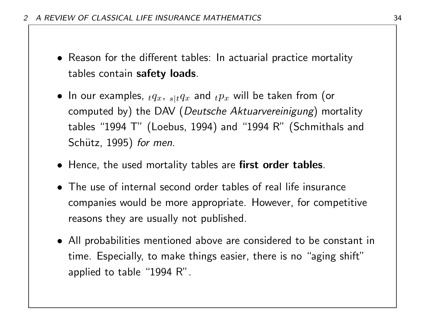- Reason for the different tables: In actuarial practice mortality tables contain safety loads.
- $\bullet\,$  In our examples,  $_t q_x$ ,  $_{s|t} q_x$  and  $_t p_x$  will be taken from (or computed by) the DAV (Deutsche Aktuarvereinigung) mortality tables "1994 T" (Loebus, 1994) and "1994 R" (Schmithals and Schütz, 1995) for men.
- Hence, the used mortality tables are first order tables.
- The use of internal second order tables of real life insurance companies would be more appropriate. However, for competitive reasons they are usually not published.
- All probabilities mentioned above are considered to be constant in time. Especially, to make things easier, there is no "aging shift" applied to table "1994 R".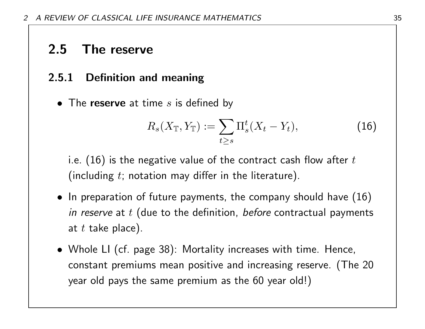# 2.5 The reserve

## 2.5.1 Definition and meaning

• The reserve at time  $s$  is defined by

$$
R_s(X_{\mathbb{T}}, Y_{\mathbb{T}}) := \sum_{t \ge s} \Pi_s^t(X_t - Y_t), \qquad (16)
$$

i.e. (16) is the negative value of the contract cash flow after  $t$ (including  $t$ ; notation may differ in the literature).

- In preparation of future payments, the company should have  $(16)$ in reserve at  $t$  (due to the definition, before contractual payments at  $t$  take place).
- Whole LI (cf. page 38): Mortality increases with time. Hence, constant premiums mean positive and increasing reserve. (The 20 year old pays the same premium as the 60 year old!)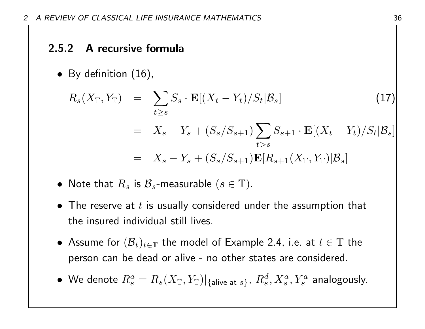### 2.5.2 A recursive formula

• By definition (16),

$$
R_s(X_{\mathbb{T}}, Y_{\mathbb{T}}) = \sum_{t \ge s} S_s \cdot \mathbf{E}[(X_t - Y_t)/S_t | \mathcal{B}_s]
$$
\n
$$
= X_s - Y_s + (S_s/S_{s+1}) \sum_{t > s} S_{s+1} \cdot \mathbf{E}[(X_t - Y_t)/S_t | \mathcal{B}_s]
$$
\n
$$
= X_s - Y_s + (S_s/S_{s+1}) \mathbf{E}[R_{s+1}(X_{\mathbb{T}}, Y_{\mathbb{T}}) | \mathcal{B}_s]
$$
\n(17)

- Note that  $R_s$  is  $\mathcal{B}_s$ -measurable  $(s \in \mathbb{T})$ .
- The reserve at  $t$  is usually considered under the assumption that the insured individual still lives.
- $\bullet$  Assume for  $(\mathcal{B}_t)_{t\in\mathbb{T}}$  the model of Example 2.4, i.e. at  $t\in\mathbb{T}$  the person can be dead or alive - no other states are considered.
- $\bullet\,$  We denote  $R^a_s=R_s(X_{\mathbb T},Y_{\mathbb T})|_{\{\text{alive at $s$}\}},\ R^d_s,X^a_s,Y^a_s$  analogously.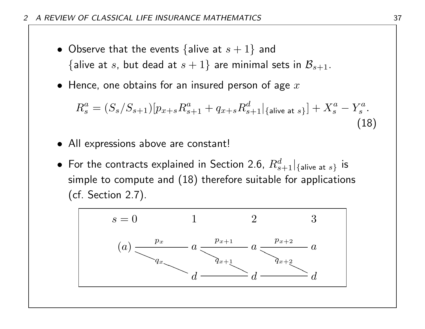- Observe that the events {alive at  $s + 1$ } and {alive at s, but dead at  $s + 1$ } are minimal sets in  $\mathcal{B}_{s+1}$ .
- Hence, one obtains for an insured person of age  $x$

$$
R_s^a = (S_s/S_{s+1})[p_{x+s}R_{s+1}^a + q_{x+s}R_{s+1}^d|_{\{\text{alive at } s\}}] + X_s^a - Y_s^a.
$$
\n(18)

- All expressions above are constant!
- $\bullet\,$  For the contracts explained in Section 2.6,  $R_{s+1}^{d}|_{\{\textsf{alive at }s\}}\,$  is simple to compute and (18) therefore suitable for applications (cf. Section 2.7).

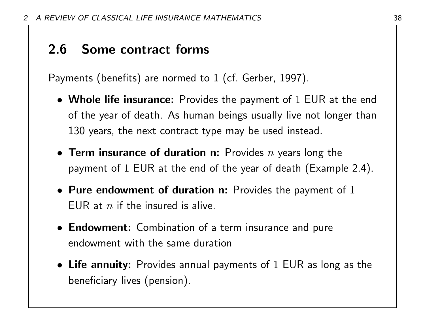# 2.6 Some contract forms

Payments (benefits) are normed to 1 (cf. Gerber, 1997).

- Whole life insurance: Provides the payment of 1 EUR at the end of the year of death. As human beings usually live not longer than 130 years, the next contract type may be used instead.
- Term insurance of duration n: Provides  $n$  years long the payment of 1 EUR at the end of the year of death (Example 2.4).
- Pure endowment of duration n: Provides the payment of  $1$ FUR at  $n$  if the insured is alive.
- Endowment: Combination of a term insurance and pure endowment with the same duration
- Life annuity: Provides annual payments of 1 EUR as long as the beneficiary lives (pension).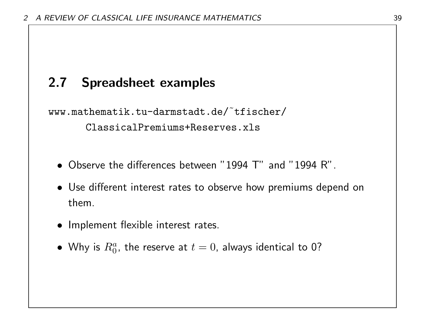## 2.7 Spreadsheet examples

www.mathematik.tu-darmstadt.de/˜tfischer/ ClassicalPremiums+Reserves.xls

- Observe the differences between "1994 T" and "1994 R".
- Use different interest rates to observe how premiums depend on them.
- Implement flexible interest rates.
- $\bullet\,$  Why is  $R^a_0$ , the reserve at  $t=0$ , always identical to 0?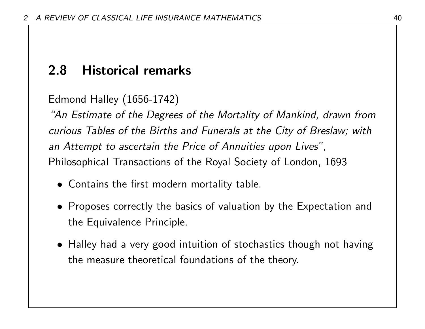## 2.8 Historical remarks

Edmond Halley (1656-1742)

"An Estimate of the Degrees of the Mortality of Mankind, drawn from curious Tables of the Births and Funerals at the City of Breslaw; with an Attempt to ascertain the Price of Annuities upon Lives", Philosophical Transactions of the Royal Society of London, 1693

- Contains the first modern mortality table.
- Proposes correctly the basics of valuation by the Expectation and the Equivalence Principle.
- Halley had a very good intuition of stochastics though not having the measure theoretical foundations of the theory.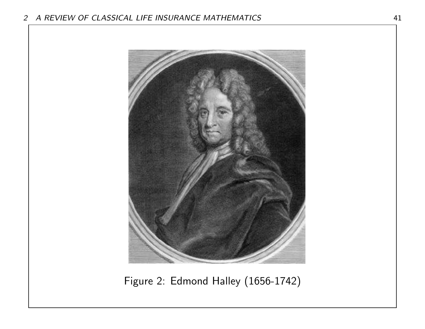

Figure 2: Edmond Halley (1656-1742)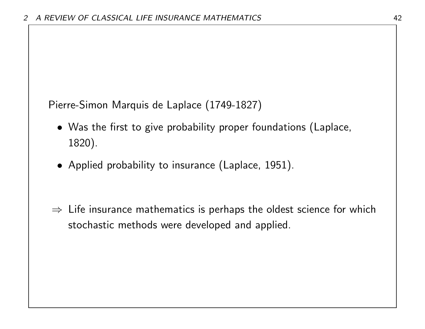Pierre-Simon Marquis de Laplace (1749-1827)

- Was the first to give probability proper foundations (Laplace, 1820).
- Applied probability to insurance (Laplace, 1951).
- $\Rightarrow$  Life insurance mathematics is perhaps the oldest science for which stochastic methods were developed and applied.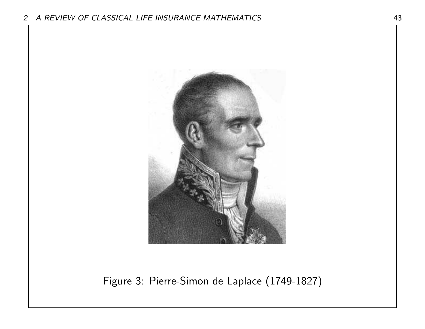

Figure 3: Pierre-Simon de Laplace (1749-1827)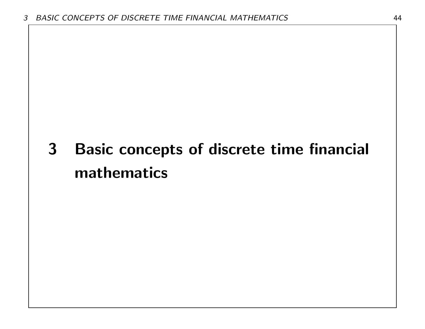# 3 Basic concepts of discrete time financial mathematics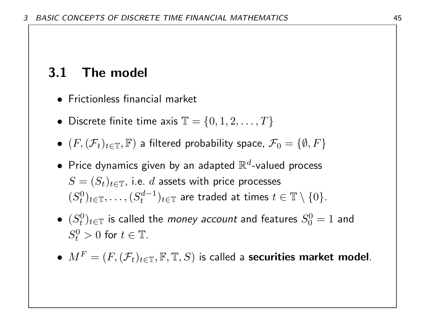## 3.1 The model

- Frictionless financial market
- Discrete finite time axis  $\mathbb{T} = \{0, 1, 2, \ldots, T\}$
- $\bullet$   $(F, (\mathcal{F}_t)_{t\in \mathbb{T}}, \mathbb{F})$  a filtered probability space,  $\mathcal{F}_0 = \{\emptyset, F\}$
- $\bullet\,$  Price dynamics given by an adapted  $\mathbb{R}^d$ -valued process  $S=(S_t)_{t\in\mathbb{T}}$ , i.e.  $d$  assets with price processes  $(S_t^0)$  $\{e^{0}\}_{t\in\mathbb{T}},\ldots,(S^{d-1}_{t})$  $(t^{d-1}_t)_{t\in\mathbb{T}}$  are traded at times  $t\in\mathbb{T}\setminus\{0\}.$
- $\bullet$   $(S_t^0)$  $\tau_t^{(0)}$ ) $_{t\in\mathbb{T}}$  is called the *money account* and features  $S^0_0$  $\overline{0}^0_0=1$  and  $S_t^0$  $t_t^0 > 0$  for  $t \in \mathbb{T}$ .
- $M^F = (F, (\mathcal{F}_t)_{t \in \mathbb{T}}, \mathbb{F}, \mathbb{T}, S)$  is called a securities market model.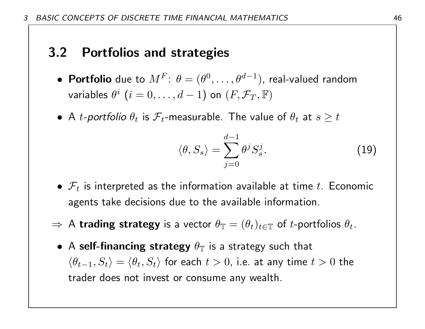## 3.2 Portfolios and strategies

- $\bullet\,$  Portfolio due to  $M^F\colon\, \theta=(\theta^0,\ldots,\theta^{d-1})$ , real-valued random variables  $\theta^i$   $(i=0,\ldots,d-1)$  on  $(F,\mathcal{F}_T,\mathbb{F})$
- $\bullet\,$  A  $t$ -portfolio  $\theta_t$  is  $\mathcal{F}_t$ -measurable. The value of  $\theta_t$  at  $s\geq t$

$$
\langle \theta, S_s \rangle = \sum_{j=0}^{d-1} \theta^j S_s^j. \tag{19}
$$

- $\mathcal{F}_t$  is interpreted as the information available at time t. Economic agents take decisions due to the available information.
- $\Rightarrow$  A trading strategy is a vector  $\theta_{\mathbb{T}} = (\theta_t)_{t \in \mathbb{T}}$  of t-portfolios  $\theta_t$ .
	- A self-financing strategy  $\theta_{\mathbb{T}}$  is a strategy such that  $\langle \theta_{t-1}, S_t \rangle = \langle \theta_t, S_t \rangle$  for each  $t > 0$ , i.e. at any time  $t > 0$  the trader does not invest or consume any wealth.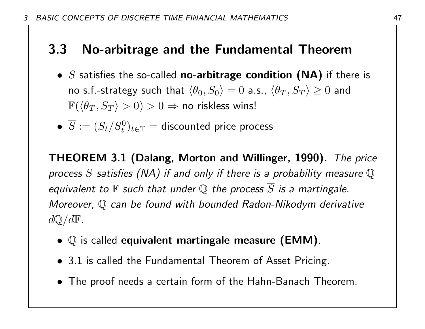## 3.3 No-arbitrage and the Fundamental Theorem

- $S$  satisfies the so-called no-arbitrage condition (NA) if there is no s.f.-strategy such that  $\langle \theta_0, S_0 \rangle = 0$  a.s.,  $\langle \theta_T, S_T \rangle \ge 0$  and  $\mathbb{F}(\langle \theta_T , S_T \rangle > 0) > 0 \Rightarrow$  no riskless wins!
- $\overline{S} := (S_t/S^0_t)_{t \in \mathbb{T}} = \textsf{discounted price process}$

THEOREM 3.1 (Dalang, Morton and Willinger, 1990). The price process S satisfies (NA) if and only if there is a probability measure  $\mathbb Q$ equivalent to  $\mathbb F$  such that under  $\mathbb Q$  the process  $\overline{S}$  is a martingale. Moreover, Q can be found with bounded Radon-Nikodym derivative  $d\mathbb{Q}/d\mathbb{F}$ .

- $\mathbb Q$  is called equivalent martingale measure (EMM).
- 3.1 is called the Fundamental Theorem of Asset Pricing.
- The proof needs a certain form of the Hahn-Banach Theorem.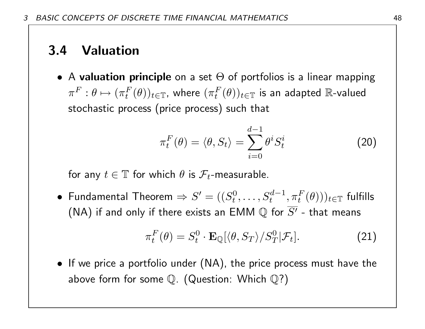## 3.4 Valuation

• A valuation principle on a set  $\Theta$  of portfolios is a linear mapping  $\pi^F: \theta \mapsto (\pi_t^F$  $_{t}^{F}(\theta))_{t\in\mathbb{T}}$ , where  $(\pi_{t}^{F}% )_{t\in\Pi}\mathcal{H}_{t}$  $_{t}^{F}(\theta))_{t\in\mathbb{T}}$  is an adapted  $\mathbb{R}\text{-}\mathsf{valued}$ stochastic process (price process) such that

$$
\pi_t^F(\theta) = \langle \theta, S_t \rangle = \sum_{i=0}^{d-1} \theta^i S_t^i \tag{20}
$$

for any  $t \in \mathbb{T}$  for which  $\theta$  is  $\mathcal{F}_t$ -measurable.

• Fundamental Theorem  $\Rightarrow S' = ((S_t^0))$  $f^0_t, \ldots, S_t^{d-1}, \pi_t^F(\theta)))_{t \in \mathbb{T}}$  fulfills (NA) if and only if there exists an EMM  $\mathbb Q$  for  $\overline{S'}$  - that means

$$
\pi_t^F(\theta) = S_t^0 \cdot \mathbf{E}_{\mathbb{Q}}[\langle \theta, S_T \rangle / S_T^0 | \mathcal{F}_t]. \tag{21}
$$

• If we price a portfolio under (NA), the price process must have the above form for some  $\mathbb Q$ . (Question: Which  $\mathbb Q$ ?)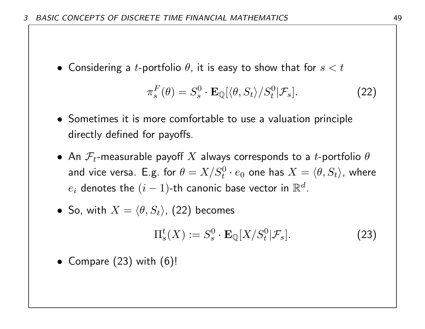• Considering a *t*-portfolio  $\theta$ , it is easy to show that for  $s < t$ 

$$
\pi_s^F(\theta) = S_s^0 \cdot \mathbf{E}_{\mathbb{Q}}[\langle \theta, S_t \rangle / S_t^0 | \mathcal{F}_s]. \tag{22}
$$

- Sometimes it is more comfortable to use a valuation principle directly defined for payoffs.
- $\bullet~$  An  $\mathcal{F}_t$ -measurable payoff  $X$  always corresponds to a  $t$ -portfolio  $\theta$ and vice versa. E.g. for  $\theta=X/S^0_t\cdot e_0$  one has  $X=\langle\theta,S_t\rangle$ , where  $e_i$  denotes the  $(i-1)$ -th canonic base vector in  $\mathbb{R}^d.$

• So, with 
$$
X = \langle \theta, S_t \rangle
$$
, (22) becomes

$$
\Pi_s^t(X) := S_s^0 \cdot \mathbf{E}_{\mathbb{Q}}[X/S_t^0 | \mathcal{F}_s]. \tag{23}
$$

• Compare  $(23)$  with  $(6)!$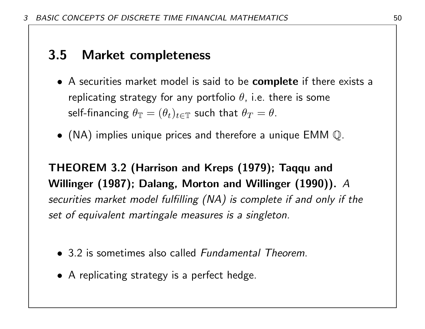## 3.5 Market completeness

- A securities market model is said to be **complete** if there exists a replicating strategy for any portfolio  $\theta$ , i.e. there is some self-financing  $\theta_{\mathbb{T}} = (\theta_t)_{t\in\mathbb{T}}$  such that  $\theta_T = \theta.$
- (NA) implies unique prices and therefore a unique EMM  $\mathbb Q$ .

THEOREM 3.2 (Harrison and Kreps (1979); Taqqu and Willinger (1987); Dalang, Morton and Willinger (1990)). A securities market model fulfilling (NA) is complete if and only if the set of equivalent martingale measures is a singleton.

- 3.2 is sometimes also called *Fundamental Theorem*.
- A replicating strategy is a perfect hedge.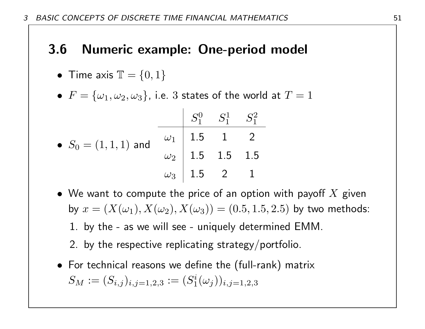### 3.6 Numeric example: One-period model

- Time axis  $\mathbb{T} = \{0, 1\}$
- $\bullet$   $F=\{\omega_1, \omega_2, \omega_3\}$ , i.e.  $3$  states of the world at  $T=1$

|                         |                                                                                                                          | $S_1^0$ $S_1^1$ $S_1^2$ |  |
|-------------------------|--------------------------------------------------------------------------------------------------------------------------|-------------------------|--|
| • $S_0 = (1, 1, 1)$ and | $\begin{array}{c ccccc} \hline \omega_1 & 1.5 & 1 & 2 \ \omega_2 & 1.5 & 1.5 & 1.5 \ \omega_3 & 1.5 & 2 & 1 \end{array}$ |                         |  |
|                         |                                                                                                                          |                         |  |
|                         |                                                                                                                          |                         |  |

- We want to compute the price of an option with payoff  $X$  given by  $x = (X(\omega_1), X(\omega_2), X(\omega_3)) = (0.5, 1.5, 2.5)$  by two methods: 1. by the - as we will see - uniquely determined EMM.
	- 2. by the respective replicating strategy/portfolio.
- For technical reasons we define the (full-rank) matrix  $S_M := (S_{i,j})_{i,j=1,2,3} := (S_1^i)$  $\binom{i}{1}(\omega_{j}))_{i,j=1,2,3}$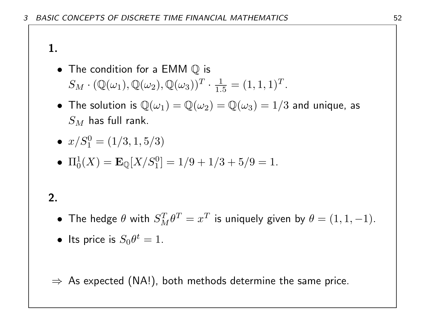#### 1.

- The condition for a  $EMM \mathbb{Q}$  is  $S_M \cdot (\mathbb{Q}(\omega_1), \mathbb{Q}(\omega_2), \mathbb{Q}(\omega_3))^T \cdot \frac{1}{1.5}$  $\frac{1}{1.5} = (1, 1, 1)^T.$
- The solution is  $\mathbb{Q}(\omega_1) = \mathbb{Q}(\omega_2) = \mathbb{Q}(\omega_3) = 1/3$  and unique, as  $S_M$  has full rank.
- $x/S_1^0 = (1/3, 1, 5/3)$
- $\Pi_0^1(X) = \mathbf{E}_{\mathbb{Q}}[X/S_1^0] = 1/9 + 1/3 + 5/9 = 1.$

## 2.

- The hedge  $\theta$  with  $S_M^T \theta^T = x^T$  is uniquely given by  $\theta = (1, 1, -1)$ .
- Its price is  $S_0 \theta^t = 1$ .

 $\Rightarrow$  As expected (NA!), both methods determine the same price.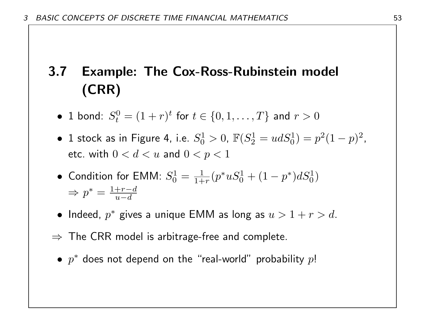# 3.7 Example: The Cox-Ross-Rubinstein model (CRR)

- 1 bond:  $S_t^0$  $t_{t}^{0}=(1+r)^{t}$  for  $t\in\{0,1,\ldots,T\}$  and  $r>0$
- $\bullet$  1 stock as in Figure 4, i.e.  $S^1_0$  $j_0^1 > 0, \ \mathbb{F}(S_2^1)$  $y_2^1 = u dS_0^1$   $= p^2 (1 - p)^2$ , etc. with  $0 < d < u$  and  $0 < p < 1$
- Condition for EMM:  $S_0^1$  $\frac{1}{0} = \frac{1}{1+}$  $\frac{1}{1+r}(p^*uS_0^1 + (1-p^*)dS_0^1)$  $\Rightarrow p^* = \frac{1+r-d}{n-d}$  $u-d$
- Indeed,  $p^*$  gives a unique EMM as long as  $u > 1 + r > d$ .
- $\Rightarrow$  The CRR model is arbitrage-free and complete.
	- $p^*$  does not depend on the "real-world" probability  $p!$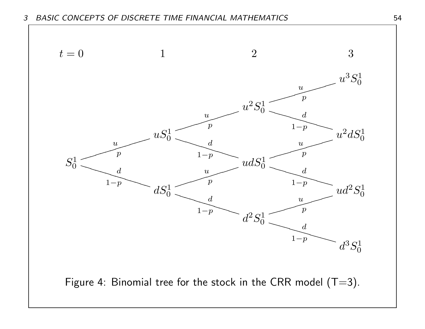3 BASIC CONCEPTS OF DISCRETE TIME FINANCIAL MATHEMATICS 54

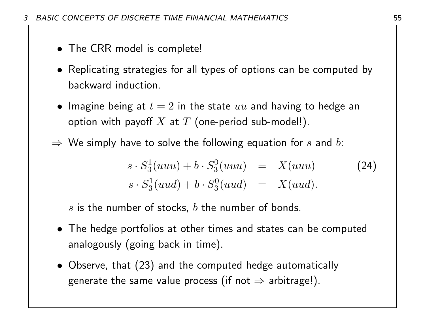- The CRR model is complete!
- Replicating strategies for all types of options can be computed by backward induction.
- Imagine being at  $t = 2$  in the state  $uu$  and having to hedge an option with payoff  $X$  at  $T$  (one-period sub-model!).
- $\Rightarrow$  We simply have to solve the following equation for s and b:

$$
s \cdot S_3^1(uuu) + b \cdot S_3^0(uuu) = X(uuu) \qquad (24)
$$
  

$$
s \cdot S_3^1(uud) + b \cdot S_3^0(uud) = X(uud).
$$

s is the number of stocks,  $b$  the number of bonds.

- The hedge portfolios at other times and states can be computed analogously (going back in time).
- Observe, that (23) and the computed hedge automatically generate the same value process (if not  $\Rightarrow$  arbitrage!).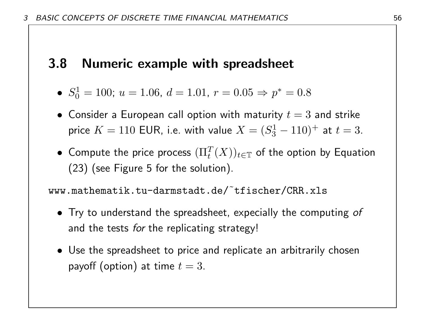#### 3.8 Numeric example with spreadsheet

- $\bullet$   $S^1_0$  $v_0^1 = 100$ ;  $u = 1.06$ ,  $d = 1.01$ ,  $r = 0.05 \Rightarrow p^* = 0.8$
- Consider a European call option with maturity  $t = 3$  and strike price  $K = 110$  EUR, i.e. with value  $X = (S^1_3)$  $t_3^{\prime 1} - 110$ )<sup>+</sup> at  $t = 3$ .
- $\bullet\,$  Compute the price process  $(\Pi_t^T(X))_{t\in\mathbb T}$  of the option by Equation (23) (see Figure 5 for the solution).

www.mathematik.tu-darmstadt.de/˜tfischer/CRR.xls

- Try to understand the spreadsheet, expecially the computing of and the tests for the replicating strategy!
- Use the spreadsheet to price and replicate an arbitrarily chosen payoff (option) at time  $t = 3$ .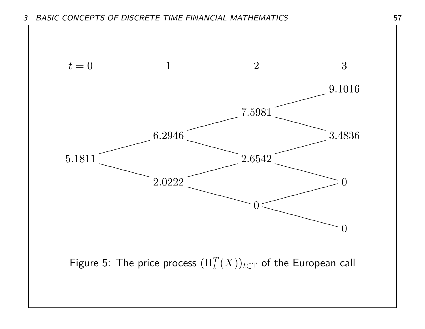

Figure 5: The price process  $(\Pi_t^T(X))_{t \in \mathbb{T}}$  of the European call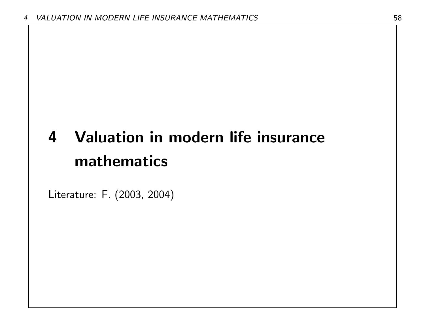# 4 Valuation in modern life insurance mathematics

Literature: F. (2003, 2004)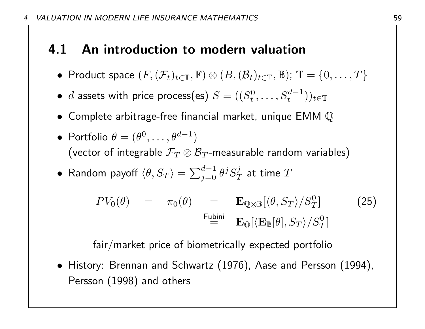## 4.1 An introduction to modern valuation

- Product space  $(F,(\mathcal{F}_t)_{t\in\mathbb{T}},\mathbb{F})\otimes(B,(\mathcal{B}_t)_{t\in\mathbb{T}},\mathbb{B})$ ;  $\mathbb{T}=\{0,\ldots,T\}$
- $\bullet$  d assets with price process(es)  $S = ((S_t^0))$  $\{t^0, \ldots, S_t^{d-1})\}_{t\in\mathbb{T}}$
- Complete arbitrage-free financial market, unique EMM Q
- Portfolio  $\theta = (\theta^0, \dots, \theta^{d-1})$ (vector of integrable  $\mathcal{F}_T\otimes\mathcal{B}_T$ -measurable random variables)
- $\bullet \,$  Random payoff  $\langle \theta, S_T \rangle = \sum_{j=0}^{d-1} \theta^j S_T^j$  $\frac{\partial}{\partial T}$  at time  $T$

$$
PV_0(\theta) = \pi_0(\theta) = \mathbf{E}_{\mathbb{Q} \otimes \mathbb{B}} [\langle \theta, S_T \rangle / S_T^0]
$$
(25)  

$$
\stackrel{\text{Fubini}}{=} \mathbf{E}_{\mathbb{Q}} [\langle \mathbf{E}_{\mathbb{B}}[\theta], S_T \rangle / S_T^0]
$$

fair/market price of biometrically expected portfolio

• History: Brennan and Schwartz (1976), Aase and Persson (1994), Persson (1998) and others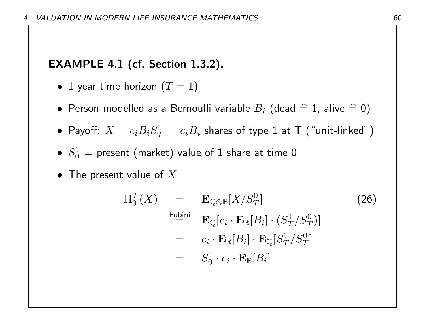#### EXAMPLE 4.1 (cf. Section 1.3.2).

- 1 year time horizon  $(T = 1)$
- $\bullet\,$  Person modelled as a Bernoulli variable  $B_i$  (dead  $\,\widehat{=}\,$  1, alive  $\,\widehat{=}\,$  0)
- Payoff:  $X = c_i B_i S_T^1$  $T^1_T = c_i B_i$  shares of type  $1$  at  $\textsf{T}$  ("unit-linked")
- $\bullet$   $S^1_0$  $\gamma_0^1=$  present (market) value of  $1$  share at time  $0$
- The present value of  $X$

$$
\Pi_0^T(X) = \mathbf{E}_{\mathbb{Q} \otimes \mathbb{B}}[X/S_T^0] \tag{26}
$$
\n
$$
\begin{aligned}\n\mathbf{F}_{\mathbf{L}}^{\text{1}} &= \mathbf{E}_{\mathbb{Q}}[c_i \cdot \mathbf{E}_{\mathbb{B}}[B_i] \cdot (S_T^1/S_T^0)] \\
&= c_i \cdot \mathbf{E}_{\mathbb{B}}[B_i] \cdot \mathbf{E}_{\mathbb{Q}}[S_T^1/S_T^0] \\
&= S_0^1 \cdot c_i \cdot \mathbf{E}_{\mathbb{B}}[B_i]\n\end{aligned}
$$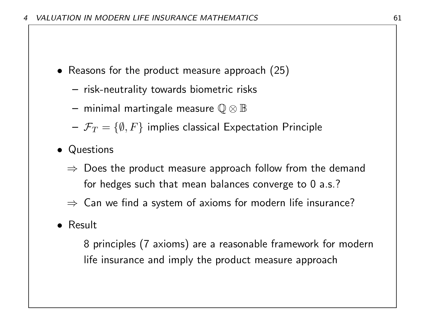- Reasons for the product measure approach (25)
	- risk-neutrality towards biometric risks
	- $-$  minimal martingale measure  $\mathbb{Q} \otimes \mathbb{B}$
	- $-\mathcal{F}_T = \{\emptyset, F\}$  implies classical Expectation Principle
- Questions
	- $\Rightarrow$  Does the product measure approach follow from the demand for hedges such that mean balances converge to 0 a.s.?
	- $\Rightarrow$  Can we find a system of axioms for modern life insurance?

#### • Result

8 principles (7 axioms) are a reasonable framework for modern life insurance and imply the product measure approach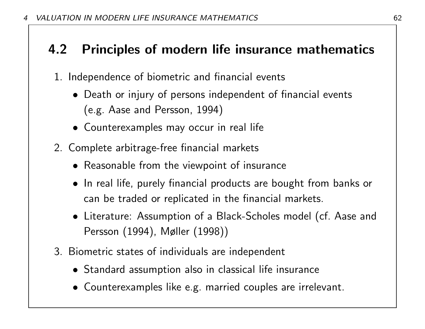# 4.2 Principles of modern life insurance mathematics

- 1. Independence of biometric and financial events
	- Death or injury of persons independent of financial events (e.g. Aase and Persson, 1994)
	- Counterexamples may occur in real life
- 2. Complete arbitrage-free financial markets
	- Reasonable from the viewpoint of insurance
	- In real life, purely financial products are bought from banks or can be traded or replicated in the financial markets.
	- Literature: Assumption of a Black-Scholes model (cf. Aase and Persson (1994), Møller (1998))
- 3. Biometric states of individuals are independent
	- Standard assumption also in classical life insurance
	- Counterexamples like e.g. married couples are irrelevant.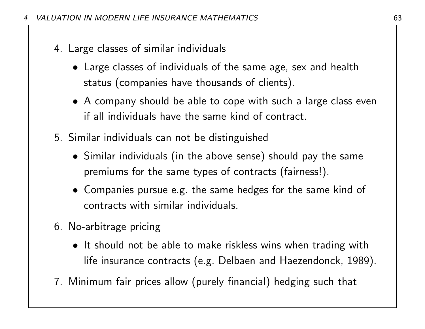- 4. Large classes of similar individuals
	- Large classes of individuals of the same age, sex and health status (companies have thousands of clients).
	- A company should be able to cope with such a large class even if all individuals have the same kind of contract.
- 5. Similar individuals can not be distinguished
	- Similar individuals (in the above sense) should pay the same premiums for the same types of contracts (fairness!).
	- Companies pursue e.g. the same hedges for the same kind of contracts with similar individuals.
- 6. No-arbitrage pricing
	- It should not be able to make riskless wins when trading with life insurance contracts (e.g. Delbaen and Haezendonck, 1989).
- 7. Minimum fair prices allow (purely financial) hedging such that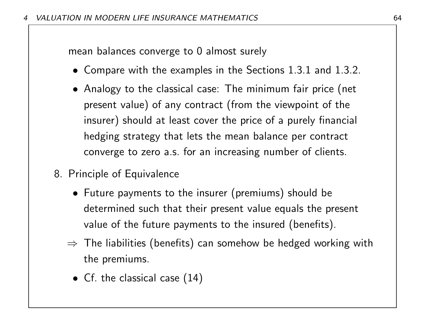mean balances converge to 0 almost surely

- Compare with the examples in the Sections 1.3.1 and 1.3.2.
- Analogy to the classical case: The minimum fair price (net present value) of any contract (from the viewpoint of the insurer) should at least cover the price of a purely financial hedging strategy that lets the mean balance per contract converge to zero a.s. for an increasing number of clients.
- 8. Principle of Equivalence
	- Future payments to the insurer (premiums) should be determined such that their present value equals the present value of the future payments to the insured (benefits).
	- $\Rightarrow$  The liabilities (benefits) can somehow be hedged working with the premiums.
		- Cf. the classical case (14)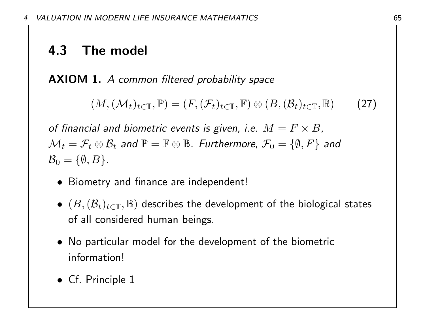## 4.3 The model

AXIOM 1. A common filtered probability space

$$
(M, (\mathcal{M}_t)_{t \in \mathbb{T}}, \mathbb{P}) = (F, (\mathcal{F}_t)_{t \in \mathbb{T}}, \mathbb{F}) \otimes (B, (\mathcal{B}_t)_{t \in \mathbb{T}}, \mathbb{B}) \qquad (27)
$$

of financial and biometric events is given, i.e.  $M = F \times B$ ,  $\mathcal{M}_t=\mathcal{F}_t\otimes\mathcal{B}_t$  and  $\mathbb{P}=\mathbb{F}\otimes\mathbb{B}$ . Furthermore,  $\mathcal{F}_0=\{\emptyset,F\}$  and  $\mathcal{B}_0 = \{\emptyset, B\}.$ 

- Biometry and finance are independent!
- $\bullet$   $(B, (\mathcal{B}_t)_{t\in \mathbb{T}}, \mathbb{B})$  describes the development of the biological states of all considered human beings.
- No particular model for the development of the biometric information!
- Cf. Principle 1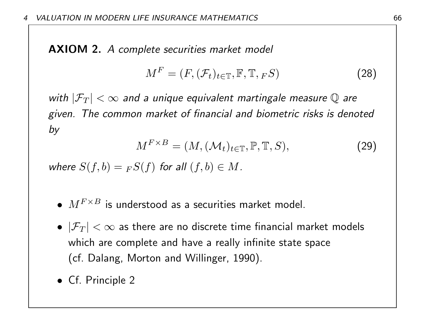AXIOM 2. A complete securities market model

$$
M^F = (F, (\mathcal{F}_t)_{t \in \mathbb{T}}, \mathbb{F}, \mathbb{T}, F^S) \tag{28}
$$

with  $|\mathcal{F}_T| < \infty$  and a unique equivalent martingale measure Q are given. The common market of financial and biometric risks is denoted by

$$
M^{F \times B} = (M, (\mathcal{M}_t)_{t \in \mathbb{T}}, \mathbb{P}, \mathbb{T}, S), \tag{29}
$$

where  $S(f,b) = {}_F S(f)$  for all  $(f,b) \in M$ .

- $M^{F\times B}$  is understood as a securities market model.
- $|\mathcal{F}_T| < \infty$  as there are no discrete time financial market models which are complete and have a really infinite state space (cf. Dalang, Morton and Willinger, 1990).
- Cf. Principle 2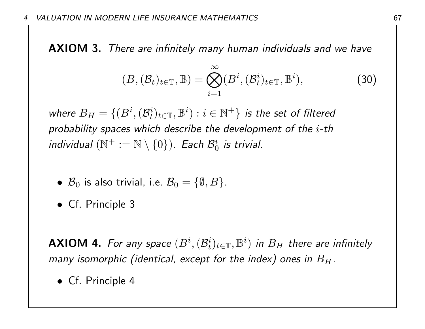AXIOM 3. There are infinitely many human individuals and we have

$$
(B, (\mathcal{B}_t)_{t \in \mathbb{T}}, \mathbb{B}) = \bigotimes_{i=1}^{\infty} (B^i, (\mathcal{B}_t^i)_{t \in \mathbb{T}}, \mathbb{B}^i), \tag{30}
$$

where  $B_H = \{(B^i, (\mathcal{B}_t^i))$  $\{i}_t)_{t\in\mathbb{T}},\mathbb{B}^i):i\in\mathbb{N}^+\}$  is the set of filtered probability spaces which describe the development of the i-th individual  $(\mathbb{N}^+ := \mathbb{N} \setminus \{0\})$ . Each  $\mathcal{B}_0^i$  $\frac{i}{0}$  is trivial.

- $\mathcal{B}_0$  is also trivial, i.e.  $\mathcal{B}_0 = \{\emptyset, B\}$ .
- Cf. Principle 3

**AXIOM 4.** For any space  $(B^i, (B^i_t))$  $\{t^i_t)_{t\in\mathbb{T}},\mathbb{B}^i)$  in  $B_H$  there are infinitely many isomorphic (identical, except for the index) ones in  $B_H$ .

• Cf. Principle 4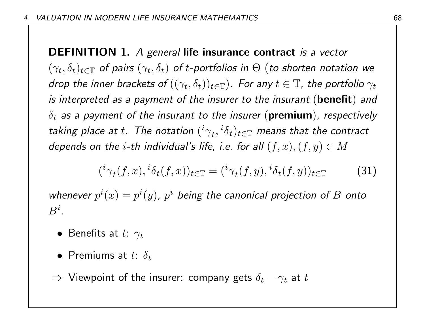DEFINITION 1. A general life insurance contract is a vector  $(\gamma_t, \delta_t)_{t\in \mathbb{T}}$  of pairs  $(\gamma_t, \delta_t)$  of t-portfolios in  $\Theta$  (to shorten notation we drop the inner brackets of  $((\gamma_t, \delta_t))_{t \in \mathbb{T}})$ . For any  $t \in \mathbb{T}$ , the portfolio  $\gamma_t$ is interpreted as a payment of the insurer to the insurant (benefit) and  $\delta_t$  as a payment of the insurant to the insurer ( ${\bf premium}$ ), respectively taking place at  $t.$  The notation  $({}^{i}\gamma_{t},{}^{i}\delta_{t})_{t\in\mathbb{T}}$  means that the contract depends on the *i*-th individual's life, i.e. for all  $(f, x)$ ,  $(f, y) \in M$ 

$$
({}^{i}\gamma_{t}(f,x),{}^{i}\delta_{t}(f,x))_{t\in\mathbb{T}} = ({}^{i}\gamma_{t}(f,y),{}^{i}\delta_{t}(f,y))_{t\in\mathbb{T}}
$$
\n(31)

whenever  $p^{i}(x) = p^{i}(y)$ ,  $p^{i}$  being the canonical projection of B onto  $B^i.$ 

- Benefits at  $t: \gamma_t$
- Premiums at  $t: \delta_t$
- $\Rightarrow$  Viewpoint of the insurer: company gets  $\delta_t-\gamma_t$  at  $t$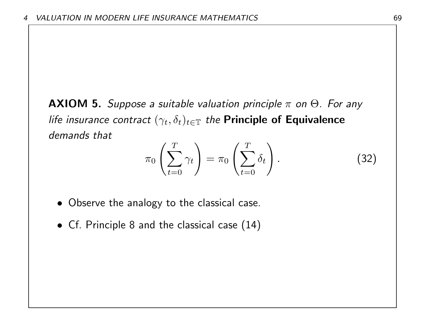**AXIOM 5.** Suppose a suitable valuation principle  $\pi$  on  $\Theta$ . For any life insurance contract  $(\gamma_t, \delta_t)_{t\in\mathbb{T}}$  the Principle of Equivalence demands that

$$
\pi_0 \left( \sum_{t=0}^T \gamma_t \right) = \pi_0 \left( \sum_{t=0}^T \delta_t \right). \tag{32}
$$

- Observe the analogy to the classical case.
- Cf. Principle 8 and the classical case (14)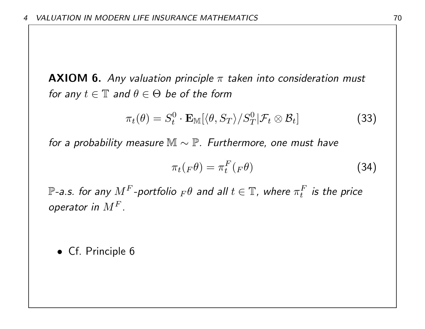**AXIOM 6.** Any valuation principle  $\pi$  taken into consideration must for any  $t \in \mathbb{T}$  and  $\theta \in \Theta$  be of the form

$$
\pi_t(\theta) = S_t^0 \cdot \mathbf{E}_{\mathbb{M}}[\langle \theta, S_T \rangle / S_T^0 | \mathcal{F}_t \otimes \mathcal{B}_t]
$$
(33)

for a probability measure  $\mathbb{M} \sim \mathbb{P}$ . Furthermore, one must have

$$
\pi_t(F\theta) = \pi_t^F(F\theta) \tag{34}
$$

 $\mathbb{P}\text{-a.s.}$  for any  $M^F\text{-}$ portfolio  $_F\theta$  and all  $t\in\mathbb{T}$ , where  $\pi^F_t$  $t^F$  is the price operator in  $M^F$ .

• Cf. Principle 6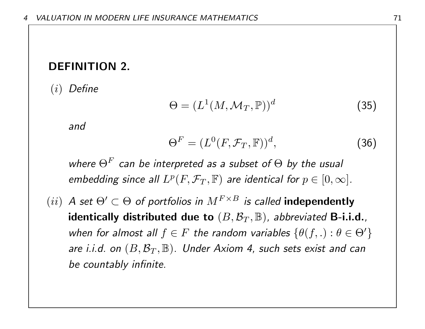#### DEFINITION 2.

(i) Define

$$
\Theta = (L^1(M, \mathcal{M}_T, \mathbb{P}))^d
$$
 (35)

and

$$
\Theta^F = (L^0(F, \mathcal{F}_T, \mathbb{F}))^d, \tag{36}
$$

where  $\Theta^F$  can be interpreted as a subset of  $\Theta$  by the usual embedding since all  $L^p(F, \mathcal{F}_T, \mathbb{F})$  are identical for  $p \in [0, \infty]$ .

(ii) A set  $\Theta' \subset \Theta$  of portfolios in  $M^{F \times B}$  is called **independently** identically distributed due to  $(B, \mathcal{B}_T, \mathbb{B})$ , abbreviated B-i.i.d., when for almost all  $f \in F$  the random variables  $\{\theta(f, .) : \theta \in \Theta'\}$ are i.i.d. on  $(B, \mathcal{B}_T, \mathbb{B})$ . Under Axiom 4, such sets exist and can be countably infinite.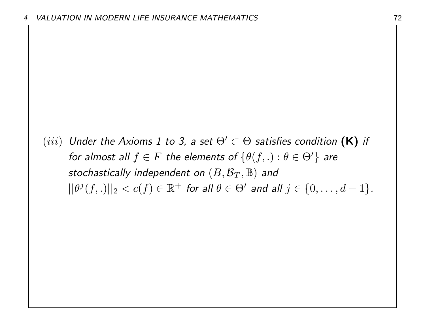(iii) Under the Axioms 1 to 3, a set  $\Theta' \subset \Theta$  satisfies condition (K) if for almost all  $f \in F$  the elements of  $\{\theta(f, .) : \theta \in \Theta'\}$  are stochastically independent on  $(B, \mathcal{B}_T, \mathbb{B})$  and  $||\theta^{j}(f,.)||_{2} < c(f) \in \mathbb{R}^{+}$  for all  $\theta \in \Theta'$  and all  $j \in \{0,\ldots,d-1\}$ .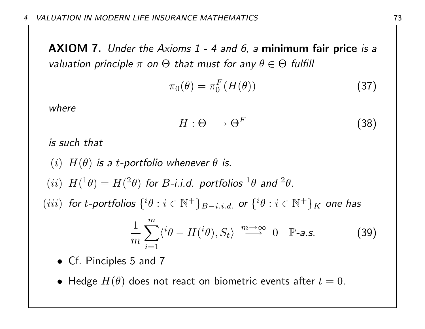AXIOM 7. Under the Axioms 1 - 4 and 6, a minimum fair price is a valuation principle  $\pi$  on  $\Theta$  that must for any  $\theta \in \Theta$  fulfill

$$
\pi_0(\theta) = \pi_0^F(H(\theta)) \tag{37}
$$

where

$$
H: \Theta \longrightarrow \Theta^F \tag{38}
$$

is such that

(i)  $H(\theta)$  is a t-portfolio whenever  $\theta$  is. (*ii*)  $H(^{1}\theta) = H(^{2}\theta)$  for *B*-*i.i.d.* portfolios  $^{1}\theta$  and  $^{2}\theta$ .  $(iii)$  for t-portfolios  $\{i\theta : i \in \mathbb{N}^+\}_{B-i.i.d.}$  or  $\{i\theta : i \in \mathbb{N}^+\}_{K}$  one has 1  $m\,$ 

$$
\frac{1}{m}\sum_{i=1} \langle ^i\theta - H({}^i\theta), S_t \rangle \xrightarrow{m \to \infty} 0 \quad \mathbb{P}\text{-a.s.}
$$
 (39)

- Cf. Pinciples 5 and 7
- Hedge  $H(\theta)$  does not react on biometric events after  $t=0$ .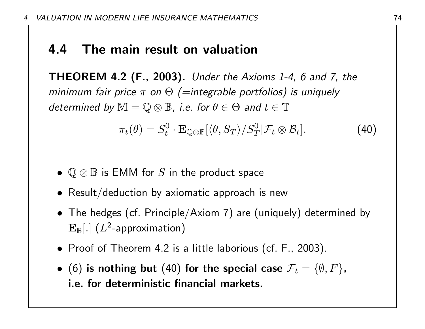## 4.4 The main result on valuation

THEOREM 4.2 (F., 2003). Under the Axioms 1-4, 6 and 7, the minimum fair price  $\pi$  on  $\Theta$  (=integrable portfolios) is uniquely determined by  $\mathbb{M} = \mathbb{Q} \otimes \mathbb{B}$ , i.e. for  $\theta \in \Theta$  and  $t \in \mathbb{T}$ 

$$
\pi_t(\theta) = S_t^0 \cdot \mathbf{E}_{\mathbb{Q} \otimes \mathbb{B}} [\langle \theta, S_T \rangle / S_T^0 | \mathcal{F}_t \otimes \mathcal{B}_t]. \tag{40}
$$

- $\mathbb{Q} \otimes \mathbb{B}$  is EMM for  $S$  in the product space
- Result/deduction by axiomatic approach is new
- The hedges (cf. Principle/Axiom 7) are (uniquely) determined by  $\mathbf{E}_{\mathbb{B}}[.]$   $(L^2$ -approximation)
- Proof of Theorem 4.2 is a little laborious (cf. F., 2003).
- (6) is nothing but (40) for the special case  $\mathcal{F}_t = \{\emptyset, F\}$ , i.e. for deterministic financial markets.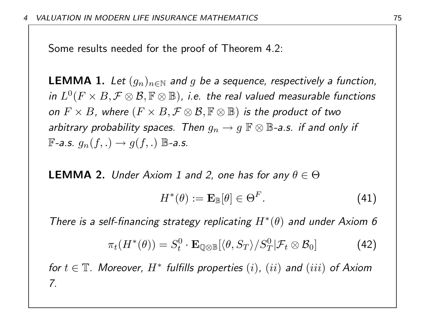Some results needed for the proof of Theorem 4.2:

**LEMMA 1.** Let  $(g_n)_{n\in\mathbb{N}}$  and g be a sequence, respectively a function, in  $L^0(F\times B,\mathcal{F}\otimes\mathcal{B},\mathbb{F}\otimes\mathbb{B})$ , i.e. the real valued measurable functions on  $F \times B$ , where  $(F \times B, \mathcal{F} \otimes \mathcal{B}, \mathbb{F} \otimes \mathbb{B})$  is the product of two arbitrary probability spaces. Then  $g_n \to g \mathbb{F} \otimes \mathbb{B}$ -a.s. if and only if  $\mathbb{F}-a.s.$   $q_n(f,.) \rightarrow q(f,.)$   $\mathbb{B}-a.s.$ 

**LEMMA 2.** Under Axiom 1 and 2, one has for any  $\theta \in \Theta$ 

$$
H^*(\theta) := \mathbf{E}_{\mathbb{B}}[\theta] \in \Theta^F. \tag{41}
$$

There is a self-financing strategy replicating  $H^*(\theta)$  and under Axiom 6

$$
\pi_t(H^*(\theta)) = S_t^0 \cdot \mathbf{E}_{\mathbb{Q} \otimes \mathbb{B}} [\langle \theta, S_T \rangle / S_T^0 | \mathcal{F}_t \otimes \mathcal{B}_0]
$$
(42)

for  $t \in \mathbb{T}$ . Moreover,  $H^*$  fulfills properties  $(i)$ ,  $(ii)$  and  $(iii)$  of Axiom 7.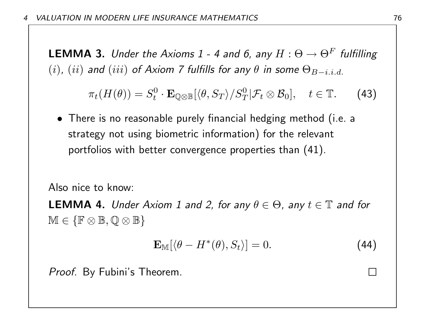**LEMMA 3.** Under the Axioms 1 - 4 and 6, any  $H: \Theta \to \Theta^F$  fulfilling (i), (ii) and (iii) of Axiom 7 fulfills for any  $\theta$  in some  $\Theta_{B-i,i,d}$ .

$$
\pi_t(H(\theta)) = S_t^0 \cdot \mathbf{E}_{\mathbb{Q} \otimes \mathbb{B}} [\langle \theta, S_T \rangle / S_T^0 | \mathcal{F}_t \otimes \mathcal{B}_0], \quad t \in \mathbb{T}.
$$
 (43)

• There is no reasonable purely financial hedging method (i.e. a strategy not using biometric information) for the relevant portfolios with better convergence properties than (41).

Also nice to know:

**LEMMA 4.** Under Axiom 1 and 2, for any  $\theta \in \Theta$ , any  $t \in \mathbb{T}$  and for  $M \in \{ \mathbb{F} \otimes \mathbb{B}, \mathbb{Q} \otimes \mathbb{B} \}$ 

$$
\mathbf{E}_{\mathbb{M}}[\langle \theta - H^*(\theta), S_t \rangle] = 0. \tag{44}
$$

Proof. By Fubini's Theorem.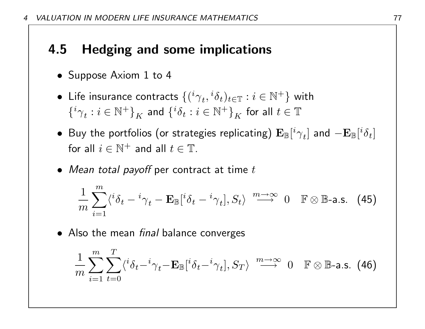# 4.5 Hedging and some implications

- Suppose Axiom 1 to 4
- $\bullet\,$  Life insurance contracts  $\{({}^{i}\gamma_{t},{}^{i}\delta_{t})_{t\in\mathbb{T}}:i\in\mathbb{N}^{+}\}$  with  $\{{}^{i}\gamma_{t}:i\in\mathbb{N}^{+}\}_{K}$  and  $\{{}^{i}\delta_{t}:i\in\mathbb{N}^{+}\}_{K}$  for all  $t\in\mathbb{T}$
- $\bullet~$  Buy the portfolios (or strategies replicating)  ${\bf E}_\mathbb{B}[^i\gamma_t]$  and  $-{\bf E}_\mathbb{B}[{}^i\delta_t]$ for all  $i \in \mathbb{N}^+$  and all  $t \in \mathbb{T}$ .
- Mean total payoff per contract at time  $t$

$$
\frac{1}{m}\sum_{i=1}^{m}\langle^{i}\delta_{t}-^{i}\gamma_{t}-\mathbf{E}_{\mathbb{B}}[{}^{i}\delta_{t}-^{i}\gamma_{t}],S_{t}\rangle \stackrel{m\rightarrow\infty}{\longrightarrow} 0 \quad \mathbb{F}\otimes\mathbb{B}\text{-a.s.} \quad (45)
$$

• Also the mean *final* balance converges

$$
\frac{1}{m} \sum_{i=1}^{m} \sum_{t=0}^{T} \langle {^{i} \delta_{t} - {^{i} \gamma_{t}} - \mathbf{E}_{\mathbb{B}}}[ {^{i} \delta_{t} - {^{i} \gamma_{t}}}], S_{T} \rangle \xrightarrow{m \to \infty} 0 \quad \mathbb{F} \otimes \mathbb{B}\text{-a.s. (46)}
$$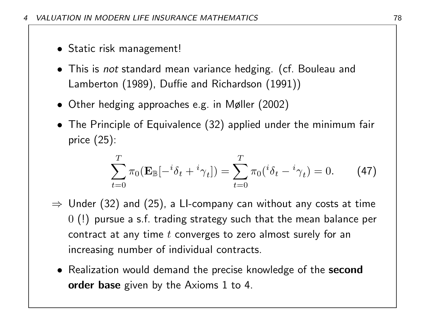- Static risk management!
- This is *not* standard mean variance hedging. (cf. Bouleau and Lamberton (1989), Duffie and Richardson (1991))
- Other hedging approaches e.g. in Møller (2002)
- The Principle of Equivalence (32) applied under the minimum fair price (25):

$$
\sum_{t=0}^{T} \pi_0 (\mathbf{E}_{\mathbb{B}}[-{}^{i} \delta_t + {}^{i} \gamma_t]) = \sum_{t=0}^{T} \pi_0 ({}^{i} \delta_t - {}^{i} \gamma_t) = 0.
$$
 (47)

- $\Rightarrow$  Under (32) and (25), a LI-company can without any costs at time 0 (!) pursue a s.f. trading strategy such that the mean balance per contract at any time  $t$  converges to zero almost surely for an increasing number of individual contracts.
	- Realization would demand the precise knowledge of the second order base given by the Axioms 1 to 4.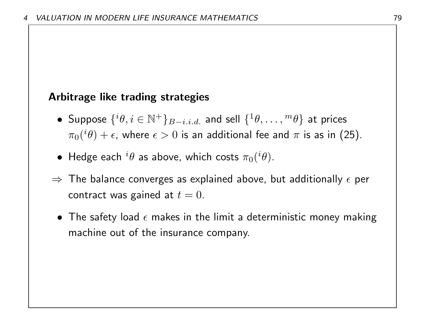### Arbitrage like trading strategies

- Suppose  $\{ {}^i\theta, i\in \mathbb{N}^+\}_{B-i.i.d.}$  and sell  $\{ {}^1\theta, \ldots, {}^m\theta \}$  at prices  $\pi_0({}^{i}\theta)+\epsilon$ , where  $\epsilon>0$  is an additional fee and  $\pi$  is as in (25).
- $\bullet\,$  Hedge each  $^i\theta$  as above, which costs  $\pi_0(^i\theta).$
- $\Rightarrow$  The balance converges as explained above, but additionally  $\epsilon$  per contract was gained at  $t = 0$ .
	- The safety load  $\epsilon$  makes in the limit a deterministic money making machine out of the insurance company.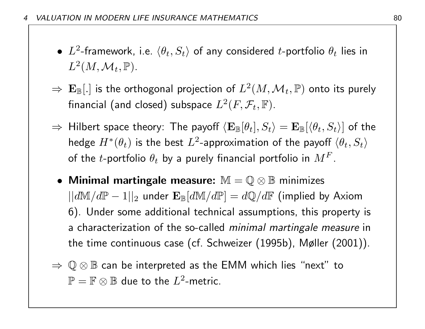- $\bullet$   $L^2$ -framework, i.e.  $\langle \theta_t, S_t \rangle$  of any considered t-portfolio  $\theta_t$  lies in  $L^2(M,\mathcal{M}_t, \mathbb{P}).$
- $\Rightarrow \ \mathbf{E}_{\mathbb{B}}[.]$  is the orthogonal projection of  $L^2(M,\mathcal{M}_t ,\mathbb{P})$  onto its purely financial (and closed) subspace  $L^2(F,{\mathcal F}_t,\mathbb{F}).$
- $\Rightarrow$  Hilbert space theory: The payoff  $\langle {\bf E}_\mathbb{B}[\theta_t], S_t\rangle = {\bf E}_\mathbb{B}[\langle\theta_t, S_t\rangle]$  of the hedge  $H^*(\theta_t)$  is the best  $L^2$ -approximation of the payoff  $\langle \theta_t, S_t \rangle$ of the  $t$ -portfolio  $\theta_t$  by a purely financial portfolio in  $M^F.$
- Minimal martingale measure:  $\mathbb{M} = \mathbb{Q} \otimes \mathbb{B}$  minimizes  $||d\mathbb{M}/d\mathbb{P} - 1||_2$  under  $\mathbf{E}_{\mathbb{B}}[d\mathbb{M}/d\mathbb{P}] = d\mathbb{Q}/d\mathbb{F}$  (implied by Axiom 6). Under some additional technical assumptions, this property is a characterization of the so-called minimal martingale measure in the time continuous case (cf. Schweizer (1995b), Møller (2001)).
- $\Rightarrow$   $\mathbb{Q} \otimes \mathbb{B}$  can be interpreted as the EMM which lies "next" to  $\mathbb{P} = \mathbb{F} \otimes \mathbb{B}$  due to the  $L^2$ -metric.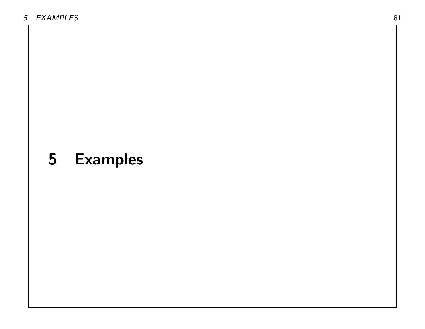# 5 Examples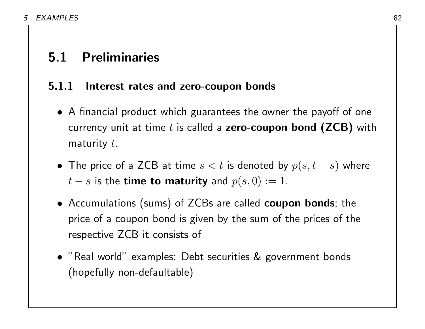## 5.1 Preliminaries

### 5.1.1 Interest rates and zero-coupon bonds

- A financial product which guarantees the owner the payoff of one currency unit at time  $t$  is called a zero-coupon bond (ZCB) with maturity  $t$ .
- The price of a ZCB at time  $s < t$  is denoted by  $p(s, t s)$  where  $t - s$  is the **time to maturity** and  $p(s, 0) := 1$ .
- Accumulations (sums) of ZCBs are called coupon bonds; the price of a coupon bond is given by the sum of the prices of the respective ZCB it consists of
- "Real world" examples: Debt securities & government bonds (hopefully non-defaultable)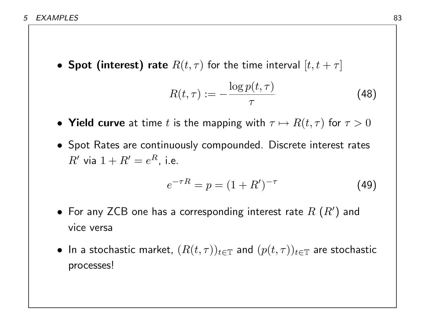• Spot (interest) rate  $R(t, \tau)$  for the time interval  $[t, t + \tau]$ 

$$
R(t,\tau) := -\frac{\log p(t,\tau)}{\tau} \tag{48}
$$

- Yield curve at time t is the mapping with  $\tau \mapsto R(t, \tau)$  for  $\tau > 0$
- Spot Rates are continuously compounded. Discrete interest rates  $R'$  via  $1 + R' = e^R$ , i.e.

$$
e^{-\tau R} = p = (1 + R')^{-\tau} \tag{49}
$$

- $\bullet\,$  For any ZCB one has a corresponding interest rate  $R\ (R^\prime)$  and vice versa
- $\bullet\,$  In a stochastic market,  $(R(t,\tau))_{t\in\mathbb{T}}$  and  $(p(t,\tau))_{t\in\mathbb{T}}$  are stochastic processes!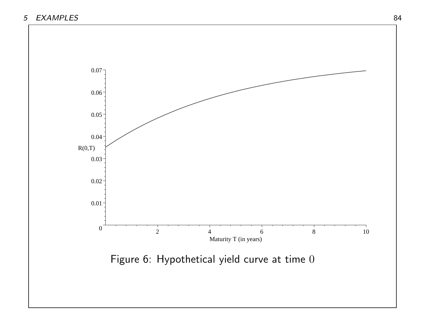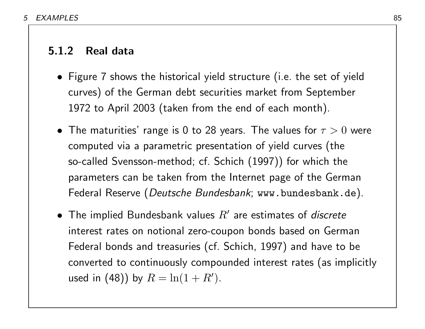### 5.1.2 Real data

- Figure 7 shows the historical yield structure (i.e. the set of yield curves) of the German debt securities market from September 1972 to April 2003 (taken from the end of each month).
- The maturities' range is 0 to 28 years. The values for  $\tau > 0$  were computed via a parametric presentation of yield curves (the so-called Svensson-method; cf. Schich (1997)) for which the parameters can be taken from the Internet page of the German Federal Reserve (Deutsche Bundesbank; www.bundesbank.de).
- The implied Bundesbank values  $R'$  are estimates of discrete interest rates on notional zero-coupon bonds based on German Federal bonds and treasuries (cf. Schich, 1997) and have to be converted to continuously compounded interest rates (as implicitly used in (48)) by  $R = \ln(1 + R')$ .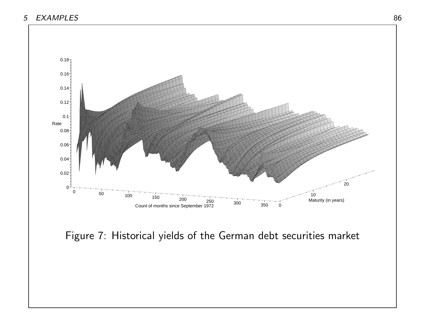

Figure 7: Historical yields of the German debt securities market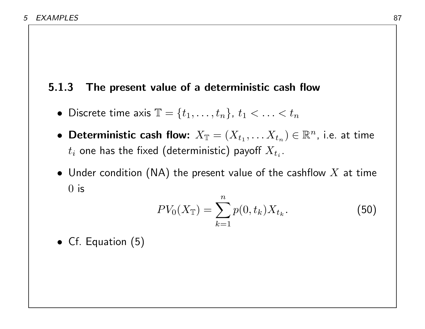### 5.1.3 The present value of a deterministic cash flow

- Discrete time axis  $\mathbb{T} = \{t_1, \ldots, t_n\}$ ,  $t_1 < \ldots < t_n$
- Deterministic cash flow:  $X_{\mathbb{T}}=(X_{t_1},\ldots X_{t_n})\in \mathbb{R}^n$ , i.e. at time  $t_i$  one has the fixed (deterministic) payoff  $X_{t_i}.$
- Under condition (NA) the present value of the cashflow  $X$  at time  $0$  is

$$
PV_0(X_{\mathbb{T}}) = \sum_{k=1}^{n} p(0, t_k) X_{t_k}.
$$
 (50)

• Cf. Equation (5)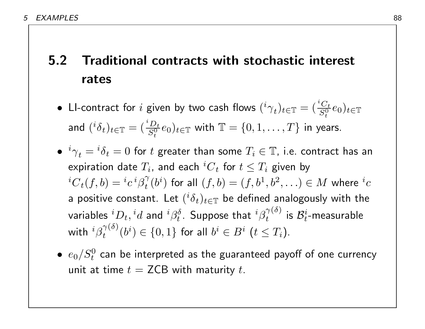# 5.2 Traditional contracts with stochastic interest rates

- $\bullet$  LI-contract for  $i$  given by two cash flows  $({}^{i}\gamma_{t})_{t\in\mathbb{T}}=({}^{i\textit{C}_{t}}_{S^{0}})$  $(\frac{C_t}{S_t^0}e_0)_{t \in \mathbb{T}}$ and  $({}^{i} \delta_{t})_{t\in\mathbb{T}}=({}^{i} \frac{D_{t}}{S^{0}})$  $(\frac{D_t}{S_t^0}e_0)_{t\in\mathbb{T}}$  with  $\mathbb{T}=\{0,1,\ldots,T\}$  in years.
- $\bullet \,\, {^i\gamma}_t = {^i\delta}_t = 0$  for  $t$  greater than some  $T_i \in \mathbb{T}$ , i.e. contract has an expiration date  $T_i$ , and each  $^iC_t$  for  $t\leq T_i$  given by  ${}^{i}C_{t}(f,b)={}^{i}c\, {}^{i}\beta_{t}^{\gamma}$  $\stackrel{\gamma}{t}(b^i)$  for all  $(f,b)=(f,b^1,b^2,\ldots)\in M$  where  ${}^ic$ a positive constant. Let  $({}^{i}\delta_{t})_{t\in\mathbb{T}}$  be defined analogously with the variables  ${}^iD_t, {}^id$  and  ${}^i\beta_t^\delta$  $t^{\delta}$ . Suppose that  ${}^i\beta^{\gamma(\delta)}_t$  $\begin{array}{l} \gamma \scriptscriptstyle (}0 \scriptscriptstyle ) \scriptscriptstyle \end{array}$  is  $\mathcal{B}_t^i$  $\frac{i}{t}$ -measurable with  ${}^{i}\beta_{t}^{\gamma(\delta)}$  $\hat{b}_t^{\gamma(\delta)}(b^i) \in \{0,1\}$  for all  $b^i \in B^i$   $(t \leq T_i).$
- $\bullet \hspace{1mm} e_{0}/S_{t}^{0}$  can be interpreted as the guaranteed payoff of one currency unit at time  $t = \mathsf{ZCB}$  with maturity t.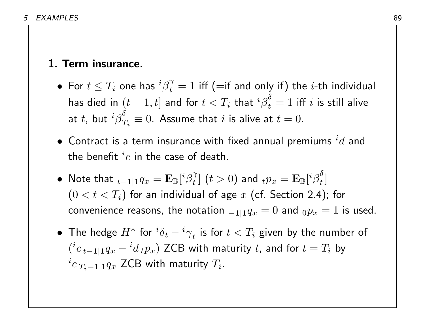### 1. Term insurance.

- $\bullet\,$  For  $t\leq T_i$  one has  ${}^i\beta^{\gamma}_t$  $\tau_t^\gamma = 1$  iff (=if and only if) the  $i$ -th individual has died in  $(t-1,t]$  and for  $t < T_i$  that  ${^i\beta}^{\delta}_t$  $\frac{1}{t}=1$  iff  $i$  is still alive at  $t$ , but  $^i\beta^\delta_T$  $\frac{\sigma}{T_i}\equiv 0.$  Assume that  $i$  is alive at  $t=0.1$
- $\bullet\,$  Contract is a term insurance with fixed annual premiums  $^id$  and the benefit  $^ic$  in the case of death.
- Note that  $_{t-1|1}q_x = \mathbf{E}_{\mathbb{B}}[{}^{i}\beta^{\gamma}_t]$  $\left[t\right]$   $(t>0)$  and  $_{t}p_{x}=\mathbf{E}_{\mathbb{B}}[{}^{i}\mathbf{\beta}_{t}^{\delta}]$  $\left[\begin{matrix} 0 \\ t \end{matrix}\right]$  $(0 < t < T_i)$  for an individual of age  $x$  (cf. Section 2.4); for convenience reasons, the notation  ${}_{-1|1}q_x=0$  and  ${}_{0}p_x=1$  is used.
- $\bullet$  The hedge  $H^*$  for  ${^i\delta}_t-{^i\gamma}_t$  is for  $t< T_i$  given by the number of  $(i c_{t-1|1} q_x - i d_t p_x)$  ZCB with maturity t, and for  $t = T_i$  by  $^{i}c_{\,T_{i}-1|1}q_{x}$  ZCB with maturity  $T_{i}.$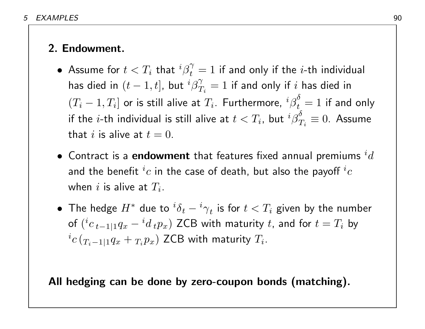### 2. Endowment.

- $\bullet\,$  Assume for  $t < T_i\,$  that  ${}^i\beta_t^\gamma$  $\tau_t^\gamma = 1$  if and only if the  $i$ -th individual has died in  $(t-1,t]$ , but  ${}^i\beta^\gamma_T$  $\mathop T\nolimits_i^{\gamma}=1$  if and only if  $i$  has died in  $(T_i-1,T_i]$  or is still alive at  $T_i$ . Furthermore,  ${^i\beta}_t^\delta$  $\frac{1}{t} = 1$  if and only if the  $i$ -th individual is still alive at  $t < T_i$ , but  ${^i\beta}^{\delta}_T$  $_{T_{i}}^{o}\equiv0.$  Assume that i is alive at  $t = 0$ .
- $\bullet\,$  Contract is a  $\mathbf e$ ndowment that features fixed annual premiums  $^id$ and the benefit  $^ic$  in the case of death, but also the payoff  $^ic$ when  $i$  is alive at  $T_i.$
- $\bullet$  The hedge  $H^*$  due to  ${^i\delta_t} {^i\gamma}_t$  is for  $t < T_i$  given by the number of  $({}^{i}c_{\;t-1|1}q_{x}-{}^{i}d_{\;t}p_{x})$  ZCB with maturity  $t$ , and for  $t=T_{i}$  by  $^{i}c\left( _{T_{i}-1|1}q_{x}+_{T_{i}}p_{x}\right)$  ZCB with maturity  $T_{i}.$

All hedging can be done by zero-coupon bonds (matching).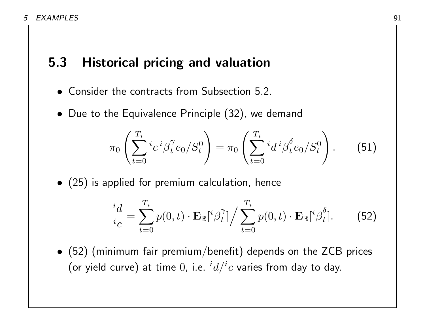### 5.3 Historical pricing and valuation

- Consider the contracts from Subsection 5.2.
- Due to the Equivalence Principle (32), we demand

$$
\pi_0 \left( \sum_{t=0}^{T_i} i_c i \beta_t^{\gamma} e_0 / S_t^0 \right) = \pi_0 \left( \sum_{t=0}^{T_i} i_d i \beta_t^{\delta} e_0 / S_t^0 \right). \tag{51}
$$

• (25) is applied for premium calculation, hence

$$
\frac{^i d}{^i c} = \sum_{t=0}^{T_i} p(0, t) \cdot \mathbf{E}_{\mathbb{B}}[^i \beta_t^{\gamma}] / \sum_{t=0}^{T_i} p(0, t) \cdot \mathbf{E}_{\mathbb{B}}[^i \beta_t^{\delta}]. \tag{52}
$$

• (52) (minimum fair premium/benefit) depends on the ZCB prices (or yield curve) at time  $0$ , i.e.  $^{i}d/^{i}c$  varies from day to day.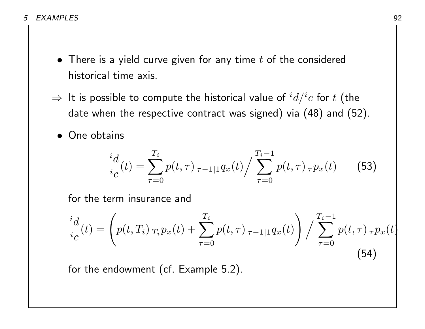- 5 EXAMPLES 92
	- There is a yield curve given for any time  $t$  of the considered historical time axis.
	- $\Rightarrow$  It is possible to compute the historical value of  $^{i}d/^{i}c$  for  $t$  (the date when the respective contract was signed) via (48) and (52).
		- One obtains

$$
\frac{i_d}{i_c}(t) = \sum_{\tau=0}^{T_i} p(t,\tau) \, \frac{\tau_{i-1}}{\tau_{i-1}} \, p(t,\tau) \, \frac{T_i - 1}{\tau_{i-1}} \, p(t,\tau) \, \frac{\tau_{i-1}}{\tau_{i-1}} \tag{53}
$$

for the term insurance and

$$
\frac{d}{i_C}(t) = \left( p(t, T_i) \, T_i p_x(t) + \sum_{\tau=0}^{T_i} p(t, \tau) \, \tau_{i-1|1} q_x(t) \right) / \sum_{\tau=0}^{T_i - 1} p(t, \tau) \, \tau_{i-1} p_x(t) \tag{54}
$$

for the endowment (cf. Example 5.2).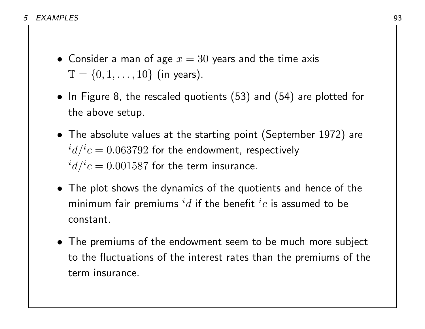- Consider a man of age  $x = 30$  years and the time axis  $\mathbb{T} = \{0, 1, \ldots, 10\}$  (in years).
- In Figure 8, the rescaled quotients (53) and (54) are plotted for the above setup.
- The absolute values at the starting point (September 1972) are  $^{i}d/^{i}c=0.063792$  for the endowment, respectively  $^{i}d/^{i}c=0.001587$  for the term insurance.
- The plot shows the dynamics of the quotients and hence of the minimum fair premiums  $^id$  if the benefit  $^ic$  is assumed to be constant.
- The premiums of the endowment seem to be much more subject to the fluctuations of the interest rates than the premiums of the term insurance.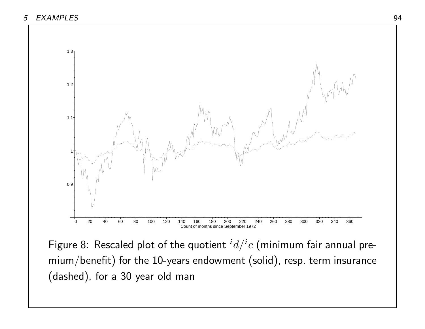

Figure 8: Rescaled plot of the quotient  $^{i}d/^{i}c$  (minimum fair annual premium/benefit) for the 10-years endowment (solid), resp. term insurance (dashed), for a 30 year old man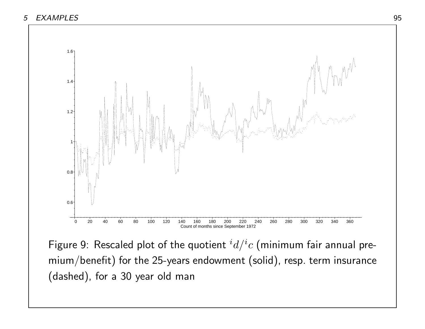

Figure 9: Rescaled plot of the quotient  $^{i}d/^{i}c$  (minimum fair annual premium/benefit) for the 25-years endowment (solid), resp. term insurance (dashed), for a 30 year old man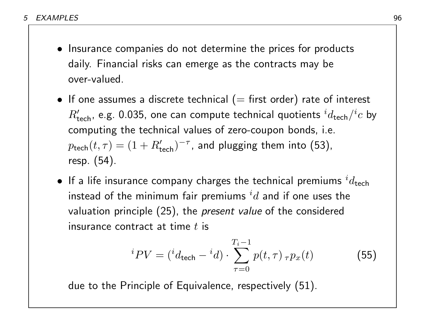- Insurance companies do not determine the prices for products daily. Financial risks can emerge as the contracts may be over-valued.
- If one assumes a discrete technical ( $=$  first order) rate of interest  $R'_{\mathsf{tech}}$ , e.g. 0.035, one can compute technical quotients  ${}^id_{\mathsf{tech}} / {}^ic$  by computing the technical values of zero-coupon bonds, i.e.  $p_{\mathsf{tech}}(t,\tau) = (1+R'_{\mathsf{tech}})^{-\tau}$ , and plugging them into (53), resp. (54).
- $\bullet\,$  If a life insurance company charges the technical premiums  $^id_{\text{tech}}$ instead of the minimum fair premiums  $^id$  and if one uses the valuation principle (25), the *present value* of the considered insurance contract at time  $t$  is

$$
{}^{i}PV = ({}^{i}d_{\text{tech}} - {}^{i}d) \cdot \sum_{\tau=0}^{T_{i}-1} p(t,\tau) \, {}_{\tau}p_{x}(t) \tag{55}
$$

due to the Principle of Equivalence, respectively (51).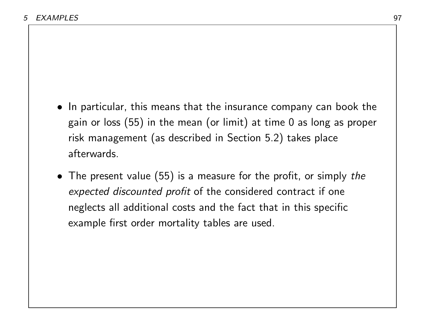- In particular, this means that the insurance company can book the gain or loss (55) in the mean (or limit) at time 0 as long as proper risk management (as described in Section 5.2) takes place afterwards.
- The present value (55) is a measure for the profit, or simply the expected discounted profit of the considered contract if one neglects all additional costs and the fact that in this specific example first order mortality tables are used.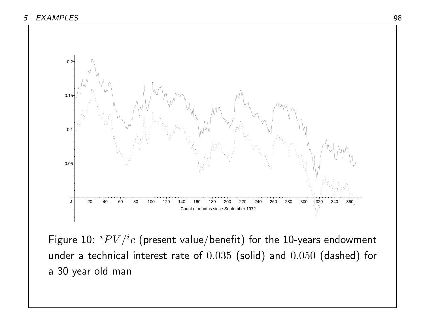

Figure 10:  $iPV/i$ c (present value/benefit) for the 10-years endowment under a technical interest rate of 0.035 (solid) and 0.050 (dashed) for a 30 year old man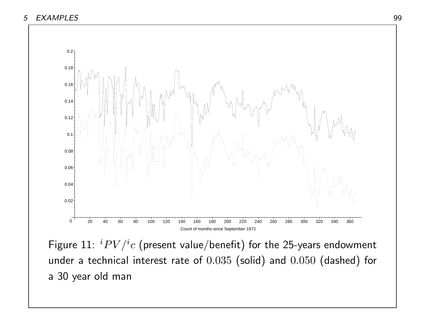

Figure  $11:~^{i}PV/^{i}c$  (present value/benefit) for the 25-years endowment under a technical interest rate of 0.035 (solid) and 0.050 (dashed) for a 30 year old man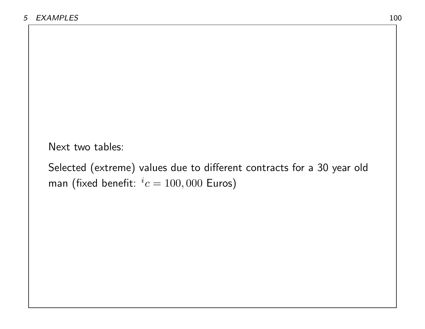Next two tables:

Selected (extreme) values due to different contracts for a 30 year old man (fixed benefit:  $i = 100,000$  Euros)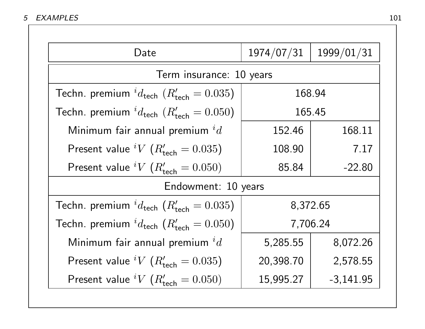| Date                                                                  | 1974/07/31 | 1999/01/31  |  |
|-----------------------------------------------------------------------|------------|-------------|--|
| Term insurance: 10 years                                              |            |             |  |
| Techn. premium ${}^{i}d_{\text{tech}}$ ( $R'_{\text{tech}} = 0.035$ ) | 168.94     |             |  |
| Techn. premium ${}^{i}d_{\text{tech}}$ ( $R'_{\text{tech}} = 0.050$ ) | 165.45     |             |  |
| Minimum fair annual premium ${}^{i}d$                                 | 152.46     | 168.11      |  |
| Present value <sup>i</sup> V ( $R'_{\text{tech}} = 0.035$ )           | 108.90     | 7.17        |  |
| Present value <sup>i</sup> V ( $R'_{\text{tech}} = 0.050$ )           | 85.84      | $-22.80$    |  |
| Endowment: 10 years                                                   |            |             |  |
| Techn. premium ${}^{i}d_{\text{tech}}$ ( $R'_{\text{tech}} = 0.035$ ) | 8,372.65   |             |  |
| Techn. premium ${}^{i}d_{\text{tech}}$ ( $R'_{\text{tech}} = 0.050$ ) | 7,706.24   |             |  |
| Minimum fair annual premium ${}^{i}d$                                 | 5,285.55   | 8,072.26    |  |
| Present value <sup>i</sup> V ( $R'_{\text{tech}} = 0.035$ )           | 20,398.70  | 2,578.55    |  |
| Present value <sup>i</sup> V ( $R'_{\text{tech}} = 0.050$ )           | 15,995.27  | $-3,141.95$ |  |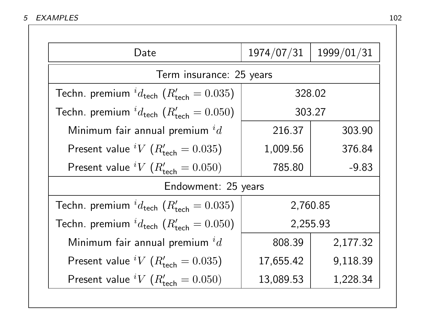| Date                                                                  | 1974/07/31 | 1999/01/31 |  |
|-----------------------------------------------------------------------|------------|------------|--|
| Term insurance: 25 years                                              |            |            |  |
| Techn. premium $^{i}d_{\text{tech}}$ ( $R'_{\text{tech}} = 0.035$ )   | 328.02     |            |  |
| Techn. premium ${}^{i}d_{\text{tech}}$ ( $R'_{\text{tech}} = 0.050$ ) | 303.27     |            |  |
| Minimum fair annual premium ${}^{i}d$                                 | 216.37     | 303.90     |  |
| Present value <sup>i</sup> V ( $R'_{\text{tech}} = 0.035$ )           | 1,009.56   | 376.84     |  |
| Present value <sup>i</sup> V ( $R'_{\text{tech}} = 0.050$ )           | 785.80     | $-9.83$    |  |
| Endowment: 25 years                                                   |            |            |  |
| Techn. premium ${}^{i}d_{\text{tech}}$ ( $R'_{\text{tech}} = 0.035$ ) | 2,760.85   |            |  |
| Techn. premium ${}^{i}d_{\text{tech}}(R'_{\text{tech}} = 0.050)$      | 2,255.93   |            |  |
| Minimum fair annual premium ${}^{i}d$                                 | 808.39     | 2,177.32   |  |
| Present value <sup>i</sup> V ( $R'_{\text{tech}} = 0.035$ )           | 17,655.42  | 9,118.39   |  |
| Present value <sup>i</sup> V ( $R'_{\text{tech}} = 0.050$ )           | 13,089.53  | 1,228.34   |  |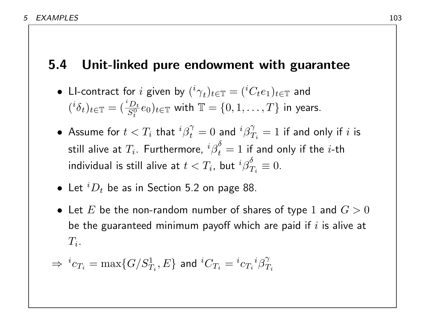### 5.4 Unit-linked pure endowment with guarantee

• Ll-contract for *i* given by 
$$
({}^{i}\gamma_{t})_{t \in \mathbb{T}} = ({}^{i}C_{t}e_{1})_{t \in \mathbb{T}}
$$
 and  $({}^{i}\delta_{t})_{t \in \mathbb{T}} = (\frac{{}^{i}D_{t}}{S_{t}^{0}}e_{0})_{t \in \mathbb{T}}$  with  $\mathbb{T} = \{0, 1, ..., T\}$  in years.

- $\bullet\,$  Assume for  $t < T_i \,$  that  ${}^i \beta^\gamma_t$  $\hat{t}^{\gamma}=0$  and  ${}^{i}\beta^{\gamma}_{T}$  $\stackrel{\gamma}{T}_i = 1$  if and only if  $i$  is still alive at  $T_i.$  Furthermore,  ${^i\beta}^{\delta}_t$  $\frac{1}{t}=1$  if and only if the  $i$ -th individual is still alive at  $t < T_i$ , but  ${^i\beta}^{\delta}_T$  $T_i \equiv 0.$
- $\bullet\,$  Let  $^iD_t$  be as in Section 5.2 on page 88.
- Let  $E$  be the non-random number of shares of type 1 and  $G > 0$ be the guaranteed minimum payoff which are paid if  $i$  is alive at  $T_i$  .

$$
\Rightarrow\ ^ic_{T_i}=\max\{G/S^1_{T_i},E\}\text{ and }^iC_{T_i}=^ic_{T_i}{}^i\beta^\gamma_{T_i}
$$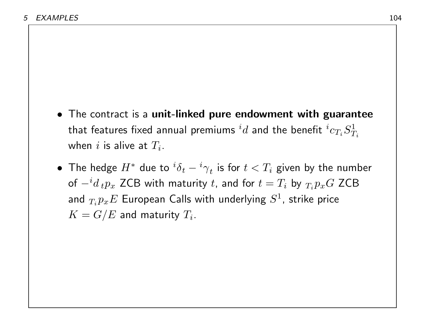- The contract is a unit-linked pure endowment with guarantee that features fixed annual premiums  $^id$  and the benefit  $^ic_{T_i}S^1_T$  $\overline{T_i}$ when  $i$  is alive at  $T_i.$
- $\bullet$  The hedge  $H^*$  due to  ${^i\delta_t} {^i\gamma}_t$  is for  $t < T_i$  given by the number of  $- {}^i d \,{}_tp_x$  ZCB with maturity  $t$ , and for  $t = T_i$  by  ${}_{T_i}p_xG$  ZCB and  $_{T_i}p_xE$  European Calls with underlying  $S^1$ , strike price  $K=G/E$  and maturity  $T_i.$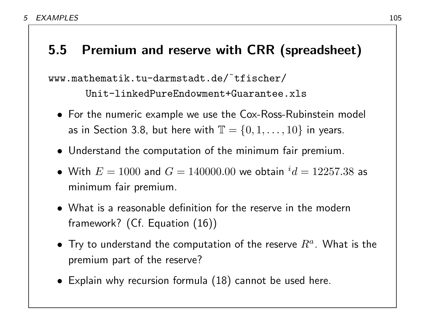## 5.5 Premium and reserve with CRR (spreadsheet)

www.mathematik.tu-darmstadt.de/˜tfischer/

Unit-linkedPureEndowment+Guarantee.xls

- For the numeric example we use the Cox-Ross-Rubinstein model as in Section 3.8, but here with  $\mathbb{T} = \{0, 1, \ldots, 10\}$  in years.
- Understand the computation of the minimum fair premium.
- $\bullet\,$  With  $E=1000$  and  $G=140000.00$  we obtain  $^id=12257.38$  as minimum fair premium.
- What is a reasonable definition for the reserve in the modern framework? (Cf. Equation (16))
- $\bullet\,$  Try to understand the computation of the reserve  $R^a.$  What is the premium part of the reserve?
- Explain why recursion formula (18) cannot be used here.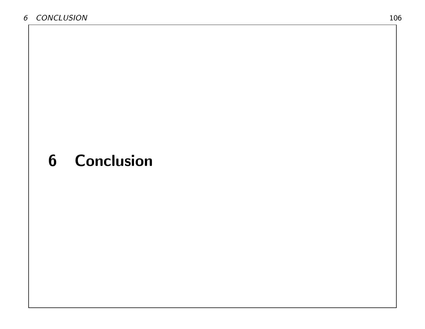# 6 Conclusion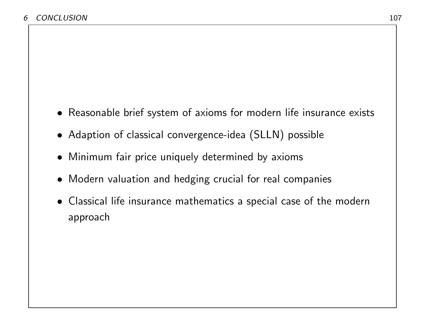- Reasonable brief system of axioms for modern life insurance exists
- Adaption of classical convergence-idea (SLLN) possible
- Minimum fair price uniquely determined by axioms
- Modern valuation and hedging crucial for real companies
- Classical life insurance mathematics a special case of the modern approach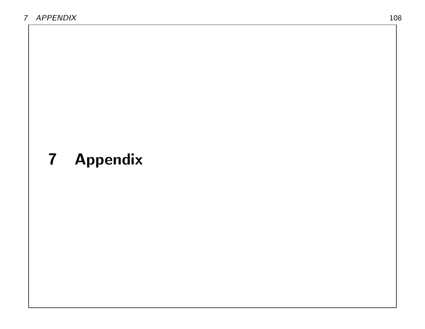# 7 Appendix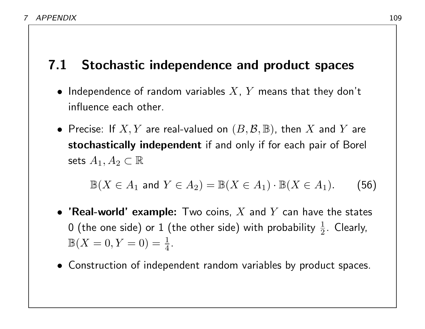### 7.1 Stochastic independence and product spaces

- Independence of random variables  $X$ ,  $Y$  means that they don't influence each other.
- Precise: If  $X, Y$  are real-valued on  $(B, \mathcal{B}, \mathbb{B})$ , then  $X$  and  $Y$  are stochastically independent if and only if for each pair of Borel sets  $A_1, A_2 \subset \mathbb{R}$

$$
\mathbb{B}(X \in A_1 \text{ and } Y \in A_2) = \mathbb{B}(X \in A_1) \cdot \mathbb{B}(X \in A_1). \tag{56}
$$

- 'Real-world' example: Two coins,  $X$  and  $Y$  can have the states 0 (the one side) or 1 (the other side) with probability  $\frac{1}{2}.$  Clearly,  $\mathbb{B}(X=0,Y=0)=\frac{1}{4}.$
- Construction of independent random variables by product spaces.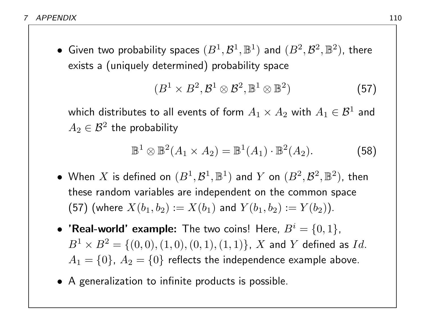$\bullet\,$  Given two probability spaces  $(B^1, {\cal B}^1, {\mathbb B}^1)$  and  $(B^2, {\cal B}^2, {\mathbb B}^2)$ , there exists a (uniquely determined) probability space

$$
(B1 \times B2, \mathcal{B}1 \otimes \mathcal{B}2, \mathbb{B}1 \otimes \mathbb{B}2)
$$
 (57)

which distributes to all events of form  $A_1\times A_2$  with  $A_1\in \mathcal{B}^1$  and  $A_2\in\mathcal{B}^2$  the probability

$$
\mathbb{B}^1 \otimes \mathbb{B}^2(A_1 \times A_2) = \mathbb{B}^1(A_1) \cdot \mathbb{B}^2(A_2).
$$
 (58)

- When  $X$  is defined on  $(B^1, \mathcal{B}^1, \mathbb{B}^1)$  and  $Y$  on  $(B^2, \mathcal{B}^2, \mathbb{B}^2)$ , then these random variables are independent on the common space (57) (where  $X(b_1, b_2) := X(b_1)$  and  $Y(b_1, b_2) := Y(b_2)$ ).
- 'Real-world' example: The two coins! Here,  $B^i = \{0,1\}$ ,  $B^1 \times B^2 = \{(0,0), (1,0), (0,1), (1,1)\}$ , X and Y defined as Id.  $A_1 = \{0\}, A_2 = \{0\}$  reflects the independence example above.
- A generalization to infinite products is possible.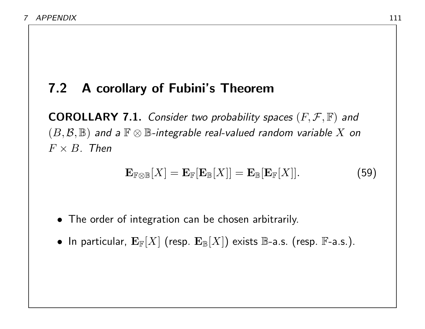### 7.2 A corollary of Fubini's Theorem

**COROLLARY 7.1.** Consider two probability spaces  $(F, \mathcal{F}, \mathbb{F})$  and  $(B, \mathcal{B}, \mathbb{B})$  and a  $\mathbb{F} \otimes \mathbb{B}$ -integrable real-valued random variable X on  $F \times B$ . Then

$$
\mathbf{E}_{\mathbb{F}\otimes\mathbb{B}}[X] = \mathbf{E}_{\mathbb{F}}[\mathbf{E}_{\mathbb{B}}[X]] = \mathbf{E}_{\mathbb{B}}[\mathbf{E}_{\mathbb{F}}[X]]. \qquad (59)
$$

- The order of integration can be chosen arbitrarily.
- In particular,  ${\bf E}_\mathbb{F}[X]$  (resp.  ${\bf E}_\mathbb{B}[X])$  exists  $\mathbb{B}$ -a.s. (resp.  $\mathbb{F}$ -a.s.).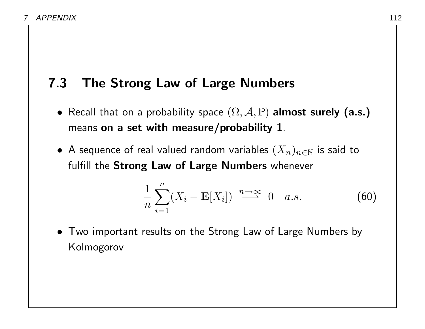## 7.3 The Strong Law of Large Numbers

- Recall that on a probability space  $(\Omega, \mathcal{A}, \mathbb{P})$  almost surely (a.s.) means on a set with measure/probability 1.
- A sequence of real valued random variables  $(X_n)_{n\in\mathbb{N}}$  is said to fulfill the Strong Law of Large Numbers whenever

$$
\frac{1}{n}\sum_{i=1}^{n}(X_i - \mathbf{E}[X_i]) \stackrel{n\to\infty}{\longrightarrow} 0 \quad a.s.
$$
 (60)

• Two important results on the Strong Law of Large Numbers by Kolmogorov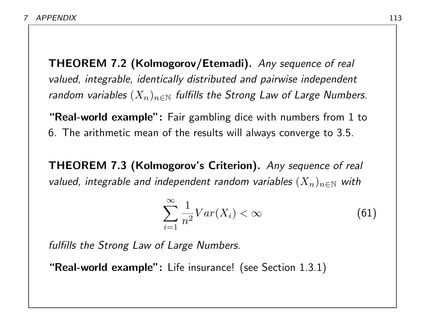THEOREM 7.2 (Kolmogorov/Etemadi). Any sequence of real valued, integrable, identically distributed and pairwise independent random variables  $(X_n)_{n\in\mathbb{N}}$  fulfills the Strong Law of Large Numbers.

**"Real-world example":** Fair gambling dice with numbers from 1 to 6. The arithmetic mean of the results will always converge to 3.5.

THEOREM 7.3 (Kolmogorov's Criterion). Any sequence of real valued, integrable and independent random variables  $(X_n)_{n\in\mathbb{N}}$  with

$$
\sum_{i=1}^{\infty} \frac{1}{n^2} Var(X_i) < \infty \tag{61}
$$

fulfills the Strong Law of Large Numbers.

"Real-world example": Life insurance! (see Section 1.3.1)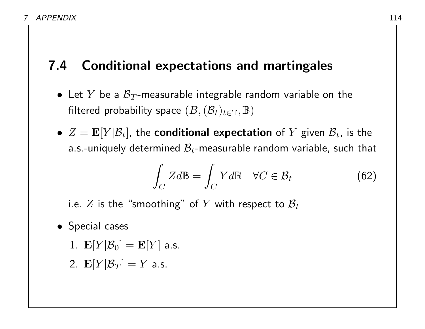# 7.4 Conditional expectations and martingales

- Let Y be a  $\mathcal{B}_T$ -measurable integrable random variable on the filtered probability space  $(B,(\mathcal{B}_t)_{t\in\mathbb{T}},\mathbb{B})$
- $Z = \mathbf{E}[Y|\mathcal{B}_t]$ , the conditional expectation of Y given  $\mathcal{B}_t$ , is the a.s.-uniquely determined  $\mathcal{B}_t$ -measurable random variable, such that

$$
\int_C Zd\mathbb{B} = \int_C Yd\mathbb{B} \quad \forall C \in \mathcal{B}_t \tag{62}
$$

i.e. Z is the "smoothing" of Y with respect to  $\mathcal{B}_t$ 

- Special cases
	- 1.  $\mathbf{E}[Y|\mathcal{B}_0] = \mathbf{E}[Y]$  a.s.
	- 2.  $\mathbf{E}[Y|\mathcal{B}_T] = Y$  a.s.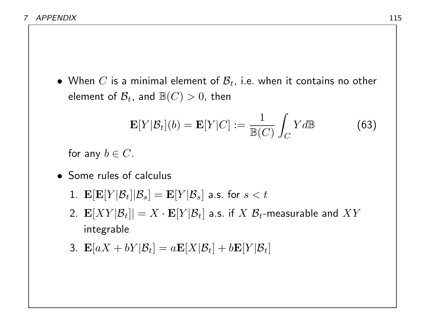• When C is a minimal element of  $\mathcal{B}_t$ , i.e. when it contains no other element of  $\mathcal{B}_t$ , and  $\mathbb{B}(C) > 0$ , then

$$
\mathbf{E}[Y|\mathcal{B}_t](b) = \mathbf{E}[Y|C] := \frac{1}{\mathbb{B}(C)} \int_C Y d\mathbb{B}
$$
 (63)

for any  $b \in C$ .

- Some rules of calculus
	- 1.  $\mathbf{E}[\mathbf{E}[Y|\mathcal{B}_t]|\mathcal{B}_s] = \mathbf{E}[Y|\mathcal{B}_s]$  a.s. for  $s < t$
	- 2.  $\mathbf{E}[XY|\mathcal{B}_t] |= X\cdot\mathbf{E}[Y|\mathcal{B}_t]$  a.s. if  $X$   $\mathcal{B}_t$ -measurable and  $XY$ integrable
	- 3.  $\mathbf{E}[aX + bY|\mathcal{B}_t] = a\mathbf{E}[X|\mathcal{B}_t] + b\mathbf{E}[Y|\mathcal{B}_t]$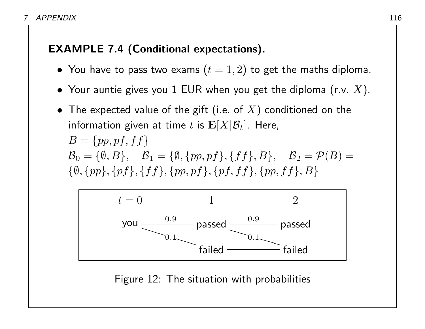#### EXAMPLE 7.4 (Conditional expectations).

- You have to pass two exams  $(t = 1, 2)$  to get the maths diploma.
- Your auntie gives you 1 EUR when you get the diploma (r.v.  $X$ ).
- The expected value of the gift (i.e. of  $X$ ) conditioned on the information given at time t is  $\mathbf{E}[X|\mathcal{B}_t]$ . Here,  $B = \{pp, pf, ff\}$  $\mathcal{B}_0 = \{\emptyset, B\}, \quad \mathcal{B}_1 = \{\emptyset, \{pp, pf\}, \{ff\}, B\}, \quad \mathcal{B}_2 = \mathcal{P}(B) =$  $\{\emptyset, \{pp\}, \{pf\}, \{ff\}, \{pp, pf\}, \{pf, ff\}, \{pp, ff\}, B\}$



Figure 12: The situation with probabilities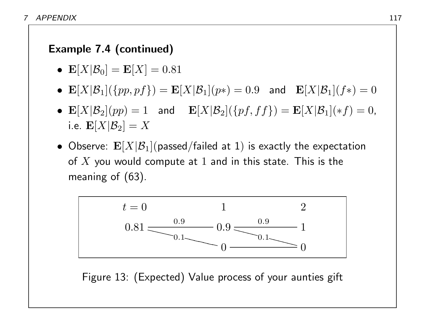#### Example 7.4 (continued)

- $E[X|\mathcal{B}_0] = E[X] = 0.81$
- $\mathbf{E}[X|\mathcal{B}_1](\{pp,pf\}) = \mathbf{E}[X|\mathcal{B}_1](p*) = 0.9$  and  $\mathbf{E}[X|\mathcal{B}_1](f*) = 0$
- $\mathbf{E}[X|\mathcal{B}_2](pp) = 1$  and  $\mathbf{E}[X|\mathcal{B}_2](\{pf, ff\}) = \mathbf{E}[X|\mathcal{B}_1](*f) = 0$ , i.e.  $\mathbf{E}[X|\mathcal{B}_2] = X$
- Observe:  $\mathbf{E}[X|\mathcal{B}_1]$  (passed/failed at 1) is exactly the expectation of  $X$  you would compute at  $1$  and in this state. This is the meaning of (63).



Figure 13: (Expected) Value process of your aunties gift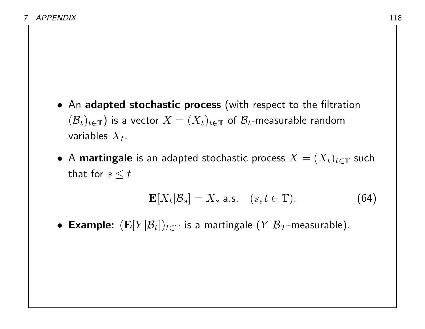- An adapted stochastic process (with respect to the filtration  $(\mathcal{B}_t)_{t\in\mathbb{T}}$ ) is a vector  $X=(X_t)_{t\in\mathbb{T}}$  of  $\mathcal{B}_t$ -measurable random variables  $X_t$ .
- $\bullet$  A martingale is an adapted stochastic process  $X=(X_t)_{t\in\mathbb T}$  such that for  $s \leq t$

$$
\mathbf{E}[X_t|\mathcal{B}_s] = X_s \text{ a.s. } (s, t \in \mathbb{T}). \tag{64}
$$

• Example:  $(\mathbf{E}[Y|\mathcal{B}_t])_{t\in\mathbb{T}}$  is a martingale  $(Y|\mathcal{B}_T)$ -measurable).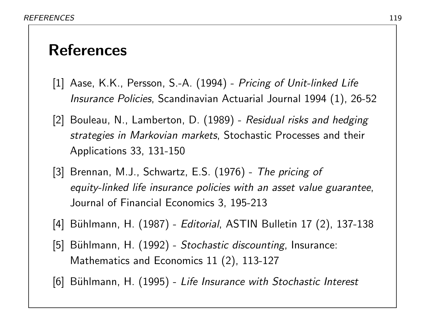# References

- [1] Aase, K.K., Persson, S.-A. (1994) Pricing of Unit-linked Life Insurance Policies, Scandinavian Actuarial Journal 1994 (1), 26-52
- [2] Bouleau, N., Lamberton, D. (1989) Residual risks and hedging strategies in Markovian markets, Stochastic Processes and their Applications 33, 131-150
- [3] Brennan, M.J., Schwartz, E.S. (1976) The pricing of equity-linked life insurance policies with an asset value guarantee, Journal of Financial Economics 3, 195-213
- [4] Bühlmann, H. (1987) Editorial, ASTIN Bulletin 17 (2), 137-138
- [5] Bühlmann, H. (1992) Stochastic discounting, Insurance: Mathematics and Economics 11 (2), 113-127
- [6] Bühlmann, H. (1995) Life Insurance with Stochastic Interest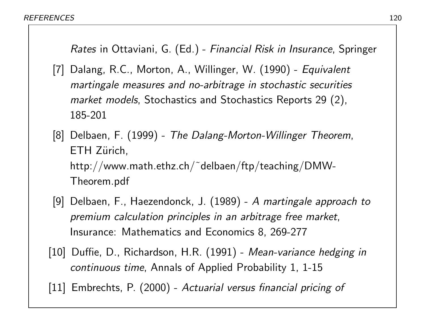Rates in Ottaviani, G. (Ed.) - Financial Risk in Insurance, Springer

- [7] Dalang, R.C., Morton, A., Willinger, W. (1990) Equivalent martingale measures and no-arbitrage in stochastic securities market models, Stochastics and Stochastics Reports 29 (2), 185-201
- [8] Delbaen, F. (1999) The Dalang-Morton-Willinger Theorem, ETH Zürich, http://www.math.ethz.ch/˜delbaen/ftp/teaching/DMW-Theorem.pdf
- [9] Delbaen, F., Haezendonck, J. (1989) A martingale approach to premium calculation principles in an arbitrage free market, Insurance: Mathematics and Economics 8, 269-277
- [10] Duffie, D., Richardson, H.R. (1991) Mean-variance hedging in continuous time, Annals of Applied Probability 1, 1-15

[11] Embrechts, P. (2000) - Actuarial versus financial pricing of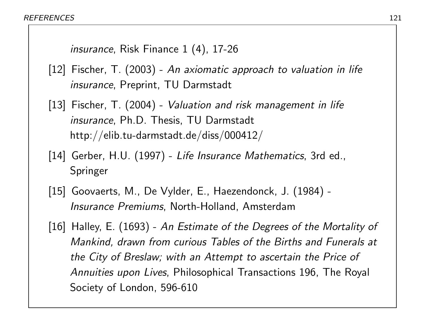```
insurance, Risk Finance 1 (4), 17-26
```
- [12] Fischer, T. (2003) An axiomatic approach to valuation in life insurance, Preprint, TU Darmstadt
- [13] Fischer, T. (2004) Valuation and risk management in life insurance, Ph.D. Thesis, TU Darmstadt http://elib.tu-darmstadt.de/diss/000412/
- [14] Gerber, H.U. (1997) Life Insurance Mathematics, 3rd ed., Springer
- [15] Goovaerts, M., De Vylder, E., Haezendonck, J. (1984) Insurance Premiums, North-Holland, Amsterdam
- [16] Halley, E. (1693) An Estimate of the Degrees of the Mortality of Mankind, drawn from curious Tables of the Births and Funerals at the City of Breslaw; with an Attempt to ascertain the Price of Annuities upon Lives, Philosophical Transactions 196, The Royal Society of London, 596-610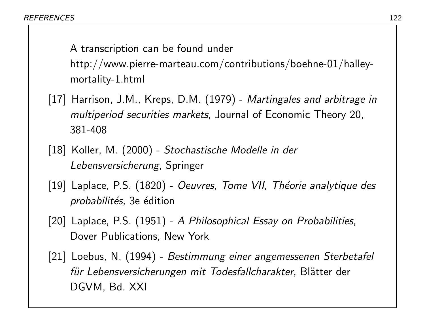A transcription can be found under http://www.pierre-marteau.com/contributions/boehne-01/halleymortality-1.html

- [17] Harrison, J.M., Kreps, D.M. (1979) Martingales and arbitrage in multiperiod securities markets, Journal of Economic Theory 20, 381-408
- [18] Koller, M. (2000) Stochastische Modelle in der Lebensversicherung, Springer
- [19] Laplace, P.S. (1820) Oeuvres, Tome VII, Théorie analytique des probabilités, 3e édition
- [20] Laplace, P.S. (1951) A Philosophical Essay on Probabilities, Dover Publications, New York
- [21] Loebus, N. (1994) Bestimmung einer angemessenen Sterbetafel für Lebensversicherungen mit Todesfallcharakter, Blätter der DGVM, Bd. XXI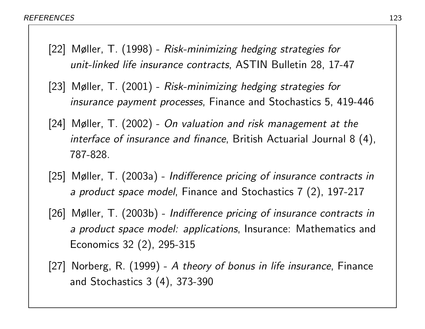- [22] Møller, T. (1998) Risk-minimizing hedging strategies for unit-linked life insurance contracts, ASTIN Bulletin 28, 17-47
- [23] Møller, T. (2001) Risk-minimizing hedging strategies for insurance payment processes, Finance and Stochastics 5, 419-446
- [24] Møller, T. (2002) On valuation and risk management at the interface of insurance and finance, British Actuarial Journal 8 (4), 787-828.
- [25] Møller, T. (2003a) Indifference pricing of insurance contracts in a product space model, Finance and Stochastics 7 (2), 197-217
- [26] Møller, T. (2003b) Indifference pricing of insurance contracts in a product space model: applications, Insurance: Mathematics and Economics 32 (2), 295-315
- [27] Norberg, R. (1999) A theory of bonus in life insurance, Finance and Stochastics 3 (4), 373-390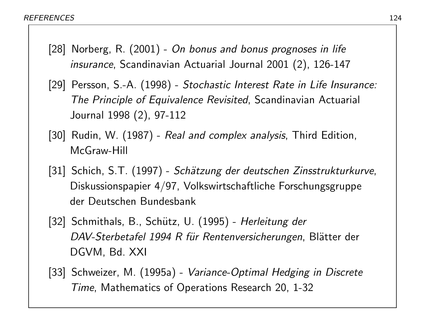- [28] Norberg, R. (2001) On bonus and bonus prognoses in life insurance, Scandinavian Actuarial Journal 2001 (2), 126-147
- [29] Persson, S.-A. (1998) Stochastic Interest Rate in Life Insurance: The Principle of Equivalence Revisited, Scandinavian Actuarial Journal 1998 (2), 97-112
- [30] Rudin, W. (1987) Real and complex analysis, Third Edition, McGraw-Hill
- [31] Schich, S.T. (1997) Schätzung der deutschen Zinsstrukturkurve, Diskussionspapier 4/97, Volkswirtschaftliche Forschungsgruppe der Deutschen Bundesbank
- [32] Schmithals, B., Schütz, U. (1995) Herleitung der DAV-Sterbetafel 1994 R für Rentenversicherungen, Blätter der DGVM, Bd. XXI
- [33] Schweizer, M. (1995a) Variance-Optimal Hedging in Discrete Time, Mathematics of Operations Research 20, 1-32